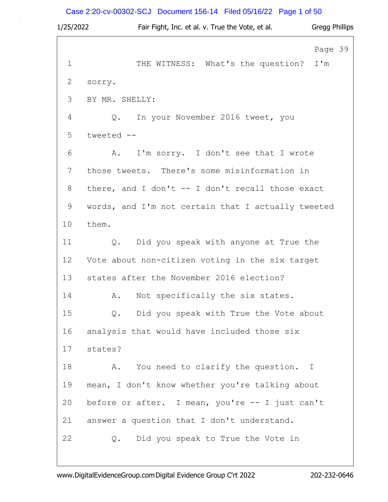# Case 2:20-cv-00302-SCJ Document 156-14 Filed 05/16/22 Page 1 of 50

| 1/25/2022   | Fair Fight, Inc. et al. v. True the Vote, et al.   | Gregg Phillips |
|-------------|----------------------------------------------------|----------------|
|             |                                                    | Page 39        |
| $\mathbf 1$ | THE WITNESS: What's the question?                  | I'm            |
| 2           | sorry.                                             |                |
| 3           | BY MR. SHELLY:                                     |                |
| 4           | In your November 2016 tweet, you<br>Q.             |                |
| 5           | tweeted --                                         |                |
| 6           | I'm sorry. I don't see that I wrote<br>A.          |                |
| 7           | those tweets. There's some misinformation in       |                |
| 8           | there, and I don't -- I don't recall those exact   |                |
| 9           | words, and I'm not certain that I actually tweeted |                |
| 10          | them.                                              |                |
| 11          | Q. Did you speak with anyone at True the           |                |
| 12          | Vote about non-citizen voting in the six target    |                |
| 13          | states after the November 2016 election?           |                |
| 14          | Not specifically the six states.<br>Α.             |                |
| 15          | Did you speak with True the Vote about<br>Q.       |                |
| 16          | analysis that would have included those six        |                |
| 17          | states?                                            |                |
| 18          | You need to clarify the question. I<br>Α.          |                |
| 19          | mean, I don't know whether you're talking about    |                |
| 20          | before or after. I mean, you're -- I just can't    |                |
| 21          | answer a question that I don't understand.         |                |
| 22          | Did you speak to True the Vote in<br>Q.            |                |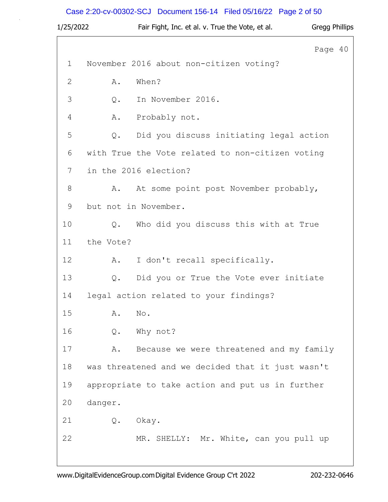# Case 2:20-cv-00302-SCJ Document 156-14 Filed 05/16/22 Page 2 of 50

| 1/25/2022    |           | Fair Fight, Inc. et al. v. True the Vote, et al.  | Gregg Phillips |  |
|--------------|-----------|---------------------------------------------------|----------------|--|
|              |           |                                                   | Page 40        |  |
| $\mathbf 1$  |           | November 2016 about non-citizen voting?           |                |  |
| $\mathbf{2}$ | Α.        | When?                                             |                |  |
| 3            | Q.        | In November 2016.                                 |                |  |
| 4            | Α.        | Probably not.                                     |                |  |
| 5            | $Q$ .     | Did you discuss initiating legal action           |                |  |
| 6            |           | with True the Vote related to non-citizen voting  |                |  |
| 7            |           | in the 2016 election?                             |                |  |
| $8\,$        | Α.        | At some point post November probably,             |                |  |
| 9            |           | but not in November.                              |                |  |
| 10           | Q.        | Who did you discuss this with at True             |                |  |
| 11           | the Vote? |                                                   |                |  |
| 12           | Α.        | I don't recall specifically.                      |                |  |
| 13           | Q.        | Did you or True the Vote ever initiate            |                |  |
| 14           |           | legal action related to your findings?            |                |  |
| 15           | Α.        | No.                                               |                |  |
| 16           | $Q$ .     | Why not?                                          |                |  |
| 17           | Α.        | Because we were threatened and my family          |                |  |
| 18           |           | was threatened and we decided that it just wasn't |                |  |
| 19           |           | appropriate to take action and put us in further  |                |  |
| 20           | danger.   |                                                   |                |  |
| 21           |           | Q. Okay.                                          |                |  |
| 22           |           | MR. SHELLY: Mr. White, can you pull up            |                |  |
|              |           |                                                   |                |  |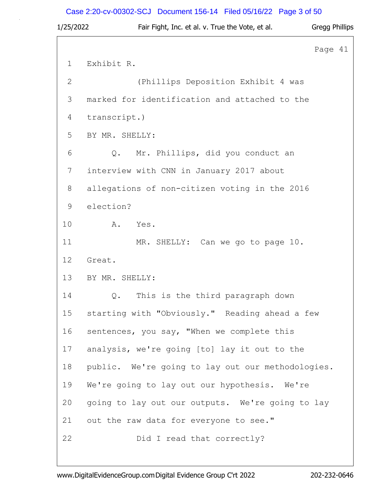# Case 2:20-cv-00302-SCJ Document 156-14 Filed 05/16/22 Page 3 of 50

| 1/25/2022   | Fair Fight, Inc. et al. v. True the Vote, et al.  | <b>Gregg Phillips</b> |  |
|-------------|---------------------------------------------------|-----------------------|--|
|             |                                                   | Page 41               |  |
| $\mathbf 1$ | Exhibit R.                                        |                       |  |
| 2           | (Phillips Deposition Exhibit 4 was                |                       |  |
| 3           | marked for identification and attached to the     |                       |  |
| 4           | transcript.)                                      |                       |  |
| 5           | BY MR. SHELLY:                                    |                       |  |
| 6           | Mr. Phillips, did you conduct an<br>Q.            |                       |  |
| 7           | interview with CNN in January 2017 about          |                       |  |
| 8           | allegations of non-citizen voting in the 2016     |                       |  |
| 9           | election?                                         |                       |  |
| 10          | A.<br>Yes.                                        |                       |  |
| 11          | MR. SHELLY: Can we go to page 10.                 |                       |  |
| 12          | Great.                                            |                       |  |
| 13          | BY MR. SHELLY:                                    |                       |  |
| 14          | This is the third paragraph down<br>Q.            |                       |  |
| 15          | starting with "Obviously." Reading ahead a few    |                       |  |
| 16          | sentences, you say, "When we complete this        |                       |  |
| 17          | analysis, we're going [to] lay it out to the      |                       |  |
| 18          | public. We're going to lay out our methodologies. |                       |  |
| 19          | We're going to lay out our hypothesis. We're      |                       |  |
| 20          | going to lay out our outputs. We're going to lay  |                       |  |
| 21          | out the raw data for everyone to see."            |                       |  |
| 22          | Did I read that correctly?                        |                       |  |
|             |                                                   |                       |  |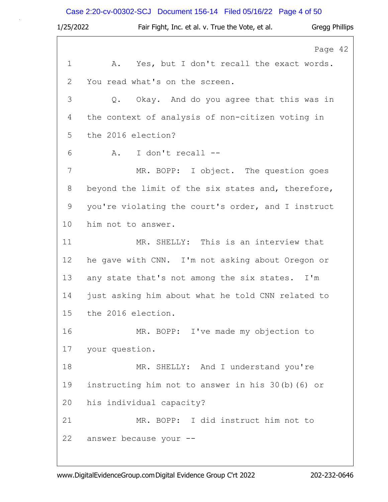# Case 2:20-cv-00302-SCJ Document 156-14 Filed 05/16/22 Page 4 of 50

| 1/25/2022   | Gregg Phillips<br>Fair Fight, Inc. et al. v. True the Vote, et al. |
|-------------|--------------------------------------------------------------------|
|             | Page 42                                                            |
| $\mathbf 1$ | Yes, but I don't recall the exact words.<br>Α.                     |
| 2           | You read what's on the screen.                                     |
| 3           | Q. Okay. And do you agree that this was in                         |
| 4           | the context of analysis of non-citizen voting in                   |
| 5           | the 2016 election?                                                 |
| 6           | I don't recall --<br>Α.                                            |
| 7           | MR. BOPP: I object. The question goes                              |
| $8\,$       | beyond the limit of the six states and, therefore,                 |
| $\mathsf 9$ | you're violating the court's order, and I instruct                 |
| 10          | him not to answer.                                                 |
| 11          | MR. SHELLY: This is an interview that                              |
| 12          | he gave with CNN. I'm not asking about Oregon or                   |
| 13          | any state that's not among the six states. I'm                     |
| 14          | just asking him about what he told CNN related to                  |
| 15          | the 2016 election.                                                 |
| 16          | MR. BOPP: I've made my objection to                                |
| 17          | your question.                                                     |
| 18          | MR. SHELLY: And I understand you're                                |
| 19          | instructing him not to answer in his 30(b)(6) or                   |
| 20          | his individual capacity?                                           |
| 21          | MR. BOPP: I did instruct him not to                                |
| 22          | answer because your --                                             |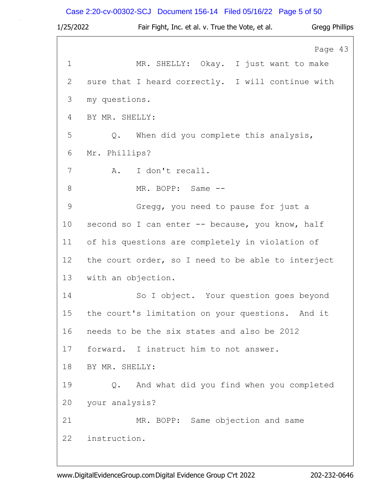# Case 2:20-cv-00302-SCJ Document 156-14 Filed 05/16/22 Page 5 of 50

| 1/25/2022   | Fair Fight, Inc. et al. v. True the Vote, et al.<br>Gregg Phillips |
|-------------|--------------------------------------------------------------------|
|             | Page 43                                                            |
| $\mathbf 1$ | MR. SHELLY: Okay. I just want to make                              |
| 2           | sure that I heard correctly. I will continue with                  |
| 3           | my questions.                                                      |
| 4           | BY MR. SHELLY:                                                     |
| 5           | When did you complete this analysis,<br>Q.                         |
| 6           | Mr. Phillips?                                                      |
| 7           | I don't recall.<br>A.                                              |
| 8           | MR. BOPP: Same --                                                  |
| 9           | Gregg, you need to pause for just a                                |
| 10          | second so I can enter -- because, you know, half                   |
| 11          | of his questions are completely in violation of                    |
| 12          | the court order, so I need to be able to interject                 |
| 13          | with an objection.                                                 |
| 14          | So I object. Your question goes beyond                             |
| 15          | the court's limitation on your questions. And it                   |
| 16          | needs to be the six states and also be 2012                        |
| 17          | forward. I instruct him to not answer.                             |
| 18          | BY MR. SHELLY:                                                     |
| 19          | And what did you find when you completed<br>Q.                     |
| 20          | your analysis?                                                     |
| 21          | MR. BOPP: Same objection and same                                  |
| 22          | instruction.                                                       |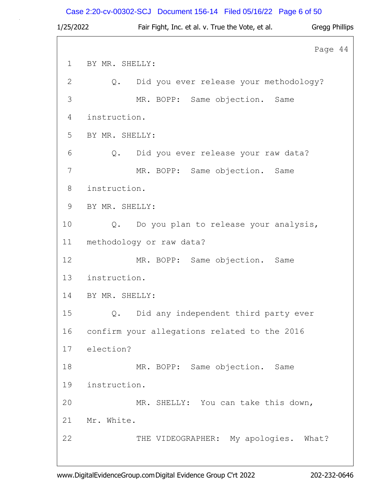# Case 2:20-cv-00302-SCJ Document 156-14 Filed 05/16/22 Page 6 of 50

| 1/25/2022    | Fair Fight, Inc. et al. v. True the Vote, et al. | <b>Gregg Phillips</b> |  |
|--------------|--------------------------------------------------|-----------------------|--|
|              |                                                  | Page 44               |  |
| $\mathbf{1}$ | BY MR. SHELLY:                                   |                       |  |
| 2            | Did you ever release your methodology?<br>Q.     |                       |  |
| 3            | MR. BOPP: Same objection. Same                   |                       |  |
| 4            | instruction.                                     |                       |  |
| 5            | BY MR. SHELLY:                                   |                       |  |
| 6            | Did you ever release your raw data?<br>Q.        |                       |  |
| 7            | MR. BOPP: Same objection. Same                   |                       |  |
| 8            | instruction.                                     |                       |  |
| 9            | BY MR. SHELLY:                                   |                       |  |
| 10           | Do you plan to release your analysis,<br>Q.      |                       |  |
| 11           | methodology or raw data?                         |                       |  |
| 12           | MR. BOPP: Same objection. Same                   |                       |  |
| 13           | instruction.                                     |                       |  |
| 14           | BY MR. SHELLY:                                   |                       |  |
| 15           | Did any independent third party ever<br>$Q$ .    |                       |  |
| 16           | confirm your allegations related to the 2016     |                       |  |
| 17           | election?                                        |                       |  |
| 18           | MR. BOPP: Same objection. Same                   |                       |  |
| 19           | instruction.                                     |                       |  |
| 20           | MR. SHELLY: You can take this down,              |                       |  |
| 21           | Mr. White.                                       |                       |  |
| 22           | THE VIDEOGRAPHER: My apologies.                  | What?                 |  |
|              |                                                  |                       |  |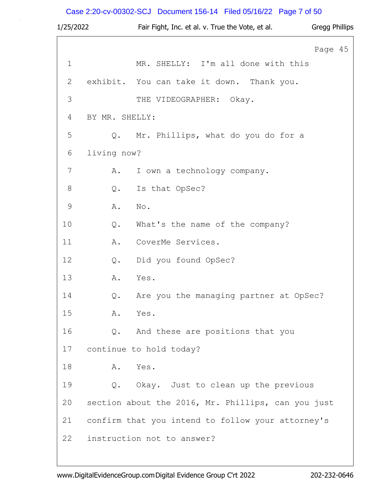# Case 2:20-cv-00302-SCJ Document 156-14 Filed 05/16/22 Page 7 of 50

| 1/25/2022     |                | Fair Fight, Inc. et al. v. True the Vote, et al.   | <b>Gregg Phillips</b> |
|---------------|----------------|----------------------------------------------------|-----------------------|
|               |                |                                                    | Page 45               |
| $\mathbf 1$   |                | MR. SHELLY: I'm all done with this                 |                       |
| 2             |                | exhibit. You can take it down. Thank you.          |                       |
| 3             |                | THE VIDEOGRAPHER: Okay.                            |                       |
| 4             | BY MR. SHELLY: |                                                    |                       |
| 5             |                | Q. Mr. Phillips, what do you do for a              |                       |
| 6             | living now?    |                                                    |                       |
| 7             | Α.             | I own a technology company.                        |                       |
| $8\,$         | $Q$ .          | Is that OpSec?                                     |                       |
| $\mathcal{G}$ | Α.             | No.                                                |                       |
| 10            | $Q$ .          | What's the name of the company?                    |                       |
| 11            | Α.             | CoverMe Services.                                  |                       |
| 12            | Q.             | Did you found OpSec?                               |                       |
| 13            | Α.             | Yes.                                               |                       |
| 14            | Q.             | Are you the managing partner at OpSec?             |                       |
| 15            | Α.             | Yes.                                               |                       |
| 16            |                | Q. And these are positions that you                |                       |
| 17            |                | continue to hold today?                            |                       |
| 18            | Α.             | Yes.                                               |                       |
| 19            |                | Q. Okay. Just to clean up the previous             |                       |
| 20            |                | section about the 2016, Mr. Phillips, can you just |                       |
| 21            |                | confirm that you intend to follow your attorney's  |                       |
| 22            |                | instruction not to answer?                         |                       |

www.DigitalEvidenceGroup.comDigital Evidence Group C'rt 2022 202-232-0646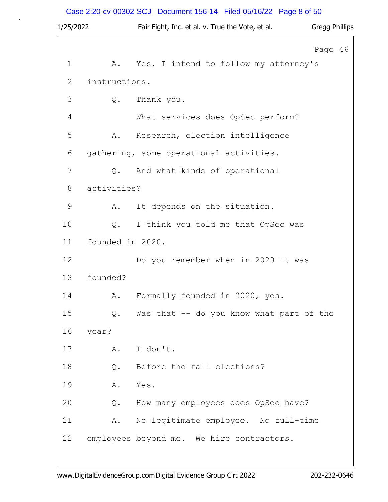# Case 2:20-cv-00302-SCJ Document 156-14 Filed 05/16/22 Page 8 of 50

| 1/25/2022   |                  | Fair Fight, Inc. et al. v. True the Vote, et al. | <b>Gregg Phillips</b> |  |
|-------------|------------------|--------------------------------------------------|-----------------------|--|
|             |                  |                                                  | Page 46               |  |
| $\mathbf 1$ | Α.               | Yes, I intend to follow my attorney's            |                       |  |
| 2           | instructions.    |                                                  |                       |  |
| 3           | Q.               | Thank you.                                       |                       |  |
| 4           |                  | What services does OpSec perform?                |                       |  |
| 5           | Α.               | Research, election intelligence                  |                       |  |
| 6           |                  | gathering, some operational activities.          |                       |  |
| 7           | $Q$ .            | And what kinds of operational                    |                       |  |
| 8           | activities?      |                                                  |                       |  |
| 9           | Α.               | It depends on the situation.                     |                       |  |
| 10          | Q.               | I think you told me that OpSec was               |                       |  |
| 11          | founded in 2020. |                                                  |                       |  |
| 12          |                  | Do you remember when in 2020 it was              |                       |  |
| 13          | founded?         |                                                  |                       |  |
| 14          | Α.               | Formally founded in 2020, yes.                   |                       |  |
| 15          | $Q$ .            | Was that -- do you know what part of the         |                       |  |
| 16          | year?            |                                                  |                       |  |
| 17          | Α.               | I don't.                                         |                       |  |
| 18          | $Q$ .            | Before the fall elections?                       |                       |  |
| 19          | Α.               | Yes.                                             |                       |  |
| 20          | Q.               | How many employees does OpSec have?              |                       |  |
| 21          | Α.               | No legitimate employee. No full-time             |                       |  |
| 22          |                  | employees beyond me. We hire contractors.        |                       |  |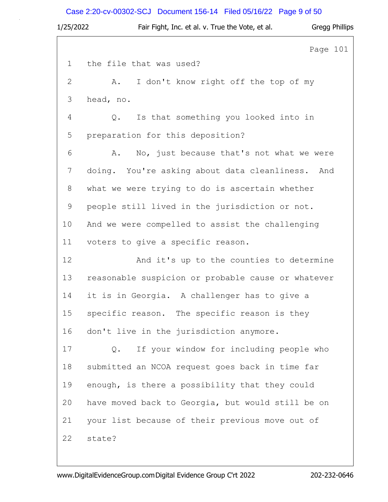# Case 2:20-cv-00302-SCJ Document 156-14 Filed 05/16/22 Page 9 of 50

| 1/25/2022     | Fair Fight, Inc. et al. v. True the Vote, et al.   |          | Gregg Phillips |
|---------------|----------------------------------------------------|----------|----------------|
|               |                                                    | Page 101 |                |
| $\mathbf 1$   | the file that was used?                            |          |                |
| $\mathbf{2}$  | I don't know right off the top of my<br>Α.         |          |                |
| 3             | head, no.                                          |          |                |
| 4             | Is that something you looked into in<br>Q.         |          |                |
| 5             | preparation for this deposition?                   |          |                |
| 6             | No, just because that's not what we were<br>Α.     |          |                |
| 7             | doing. You're asking about data cleanliness. And   |          |                |
| 8             | what we were trying to do is ascertain whether     |          |                |
| $\mathcal{G}$ | people still lived in the jurisdiction or not.     |          |                |
| 10            | And we were compelled to assist the challenging    |          |                |
| 11            | voters to give a specific reason.                  |          |                |
| 12            | And it's up to the counties to determine           |          |                |
| 13            | reasonable suspicion or probable cause or whatever |          |                |
| 14            | it is in Georgia. A challenger has to give a       |          |                |
| 15            | specific reason. The specific reason is they       |          |                |
| 16            | don't live in the jurisdiction anymore.            |          |                |
| 17            | If your window for including people who<br>Q.      |          |                |
| 18            | submitted an NCOA request goes back in time far    |          |                |
| 19            | enough, is there a possibility that they could     |          |                |
| 20            | have moved back to Georgia, but would still be on  |          |                |
| 21            | your list because of their previous move out of    |          |                |
| 22            | state?                                             |          |                |
|               |                                                    |          |                |

www.DigitalEvidenceGroup.comDigital Evidence Group C'rt 2022 202-232-0646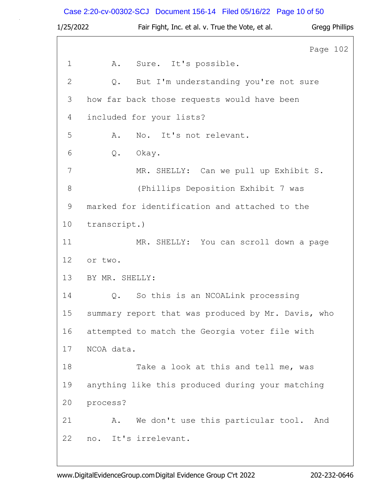# Case 2:20-cv-00302-SCJ Document 156-14 Filed 05/16/22 Page 10 of 50

| 1/25/2022   | Fair Fight, Inc. et al. v. True the Vote, et al.<br><b>Gregg Phillips</b> |
|-------------|---------------------------------------------------------------------------|
|             | Page 102                                                                  |
| $\mathbf 1$ | Sure. It's possible.<br>Α.                                                |
| 2           | But I'm understanding you're not sure<br>Q.                               |
| 3           | how far back those requests would have been                               |
| 4           | included for your lists?                                                  |
| 5           | No. It's not relevant.<br>Α.                                              |
| 6           | Q.<br>Okay.                                                               |
| 7           | MR. SHELLY: Can we pull up Exhibit S.                                     |
| $8\,$       | (Phillips Deposition Exhibit 7 was                                        |
| 9           | marked for identification and attached to the                             |
| 10          | transcript.)                                                              |
| 11          | MR. SHELLY: You can scroll down a page                                    |
| 12          | or two.                                                                   |
| 13          | BY MR. SHELLY:                                                            |
| 14          | Q.<br>So this is an NCOALink processing                                   |
| 15          | summary report that was produced by Mr. Davis, who                        |
| 16          | attempted to match the Georgia voter file with                            |
| 17          | NCOA data.                                                                |
| 18          | Take a look at this and tell me, was                                      |
| 19          | anything like this produced during your matching                          |
| 20          | process?                                                                  |
| 21          | We don't use this particular tool. And<br>Α.                              |
| 22          | no. It's irrelevant.                                                      |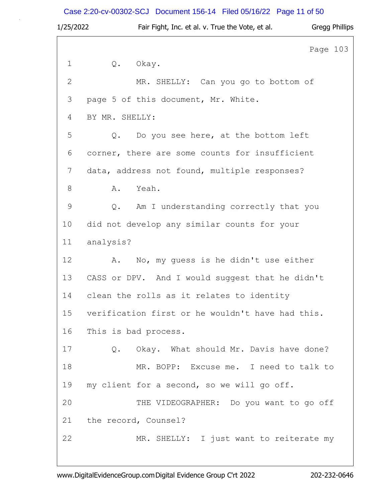# Case 2:20-cv-00302-SCJ Document 156-14 Filed 05/16/22 Page 11 of 50

| 1/25/2022    |                | Fair Fight, Inc. et al. v. True the Vote, et al. |          | Gregg Phillips |
|--------------|----------------|--------------------------------------------------|----------|----------------|
|              |                |                                                  | Page 103 |                |
| $\mathbf 1$  |                | Q. Okay.                                         |          |                |
| $\mathbf{2}$ |                | MR. SHELLY: Can you go to bottom of              |          |                |
| 3            |                | page 5 of this document, Mr. White.              |          |                |
| 4            | BY MR. SHELLY: |                                                  |          |                |
| 5            | $Q$ .          | Do you see here, at the bottom left              |          |                |
| 6            |                | corner, there are some counts for insufficient   |          |                |
| 7            |                | data, address not found, multiple responses?     |          |                |
| $8\,$        | Α.             | Yeah.                                            |          |                |
| 9            | Q.             | Am I understanding correctly that you            |          |                |
| 10           |                | did not develop any similar counts for your      |          |                |
| 11           | analysis?      |                                                  |          |                |
| 12           | Α.             | No, my guess is he didn't use either             |          |                |
| 13           |                | CASS or DPV. And I would suggest that he didn't  |          |                |
| 14           |                | clean the rolls as it relates to identity        |          |                |
| 15           |                | verification first or he wouldn't have had this. |          |                |
| 16           |                | This is bad process.                             |          |                |
| 17           |                | Q. Okay. What should Mr. Davis have done?        |          |                |
| 18           |                | MR. BOPP: Excuse me. I need to talk to           |          |                |
| 19           |                | my client for a second, so we will go off.       |          |                |
| 20           |                | THE VIDEOGRAPHER: Do you want to go off          |          |                |
| 21           |                | the record, Counsel?                             |          |                |
| 22           |                | MR. SHELLY: I just want to reiterate my          |          |                |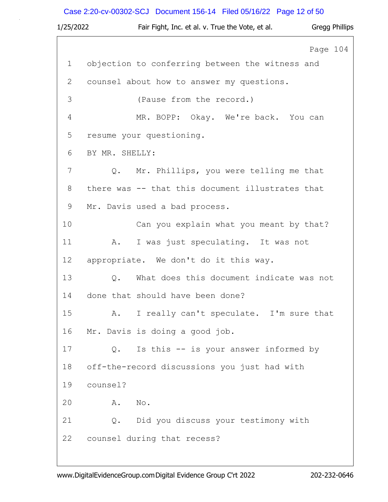# Case 2:20-cv-00302-SCJ Document 156-14 Filed 05/16/22 Page 12 of 50

| 1/25/2022   | Fair Fight, Inc. et al. v. True the Vote, et al. Gregg Phillips |          |
|-------------|-----------------------------------------------------------------|----------|
|             |                                                                 | Page 104 |
| $\mathbf 1$ | objection to conferring between the witness and                 |          |
| 2           | counsel about how to answer my questions.                       |          |
| 3           | (Pause from the record.)                                        |          |
| 4           | MR. BOPP: Okay. We're back. You can                             |          |
| 5           | resume your questioning.                                        |          |
| 6           | BY MR. SHELLY:                                                  |          |
| 7           | Q. Mr. Phillips, you were telling me that                       |          |
| 8           | there was -- that this document illustrates that                |          |
| 9           | Mr. Davis used a bad process.                                   |          |
| 10          | Can you explain what you meant by that?                         |          |
| 11          | I was just speculating. It was not<br>Α.                        |          |
| 12          | appropriate. We don't do it this way.                           |          |
| 13          | Q. What does this document indicate was not                     |          |
| 14          | done that should have been done?                                |          |
| 15          | I really can't speculate. I'm sure that<br>Α.                   |          |
| 16          | Mr. Davis is doing a good job.                                  |          |
| 17          | Is this -- is your answer informed by<br>$Q$ .                  |          |
| 18          | off-the-record discussions you just had with                    |          |
| 19          | counsel?                                                        |          |
| 20          | No.<br>Α.                                                       |          |
| 21          | Q. Did you discuss your testimony with                          |          |
| 22          | counsel during that recess?                                     |          |
|             |                                                                 |          |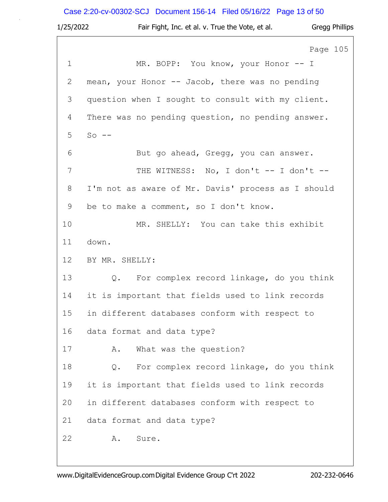Case 2:20-cv-00302-SCJ Document 156-14 Filed 05/16/22 Page 13 of 50

| 1/25/2022    | Fair Fight, Inc. et al. v. True the Vote, et al.<br><b>Gregg Phillips</b> |
|--------------|---------------------------------------------------------------------------|
|              | Page 105                                                                  |
| $\mathbf 1$  | MR. BOPP: You know, your Honor -- I                                       |
| $\mathbf{2}$ | mean, your Honor -- Jacob, there was no pending                           |
| 3            | question when I sought to consult with my client.                         |
| 4            | There was no pending question, no pending answer.                         |
| 5            | $So$ $-$                                                                  |
| 6            | But go ahead, Gregg, you can answer.                                      |
| 7            | THE WITNESS: No, I don't -- I don't --                                    |
| 8            | I'm not as aware of Mr. Davis' process as I should                        |
| 9            | be to make a comment, so I don't know.                                    |
| 10           | MR. SHELLY: You can take this exhibit                                     |
| 11           | down.                                                                     |
| 12           | BY MR. SHELLY:                                                            |
| 13           | Q. For complex record linkage, do you think                               |
| 14           | it is important that fields used to link records                          |
| 15           | in different databases conform with respect to                            |
| 16           | data format and data type?                                                |
| 17           | What was the question?<br>Α.                                              |
| 18           | For complex record linkage, do you think<br>Q.                            |
| 19           | it is important that fields used to link records                          |
| 20           | in different databases conform with respect to                            |
| 21           | data format and data type?                                                |
| 22           | Α.<br>Sure.                                                               |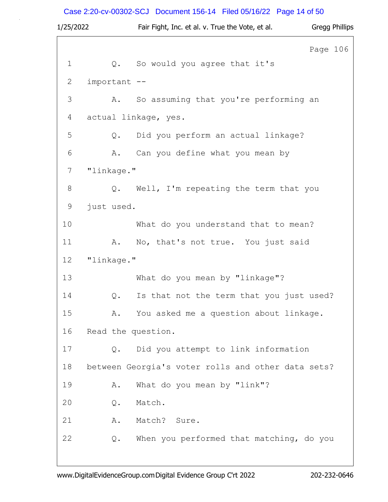# Case 2:20-cv-00302-SCJ Document 156-14 Filed 05/16/22 Page 14 of 50

| 1/25/2022   |                    | Fair Fight, Inc. et al. v. True the Vote, et al.   | <b>Gregg Phillips</b> |
|-------------|--------------------|----------------------------------------------------|-----------------------|
|             |                    |                                                    | Page 106              |
| $\mathbf 1$ | Q.                 | So would you agree that it's                       |                       |
| 2           | important --       |                                                    |                       |
| 3           | Α.                 | So assuming that you're performing an              |                       |
| 4           |                    | actual linkage, yes.                               |                       |
| 5           | Q.                 | Did you perform an actual linkage?                 |                       |
| 6           | Α.                 | Can you define what you mean by                    |                       |
| 7           | "linkage."         |                                                    |                       |
| $\,8\,$     |                    | Q. Well, I'm repeating the term that you           |                       |
| 9           | just used.         |                                                    |                       |
| 10          |                    | What do you understand that to mean?               |                       |
| 11          | Α.                 | No, that's not true. You just said                 |                       |
| 12          | "linkage."         |                                                    |                       |
| 13          |                    | What do you mean by "linkage"?                     |                       |
| 14          | Q.                 | Is that not the term that you just used?           |                       |
| 15          | Α.                 | You asked me a question about linkage.             |                       |
| 16          | Read the question. |                                                    |                       |
| 17          | $Q$ .              | Did you attempt to link information                |                       |
| 18          |                    | between Georgia's voter rolls and other data sets? |                       |
| 19          | Α.                 | What do you mean by "link"?                        |                       |
| 20          | Q.                 | Match.                                             |                       |
| 21          | Α.                 | Match?<br>Sure.                                    |                       |
| 22          | Q.                 | When you performed that matching, do you           |                       |
|             |                    |                                                    |                       |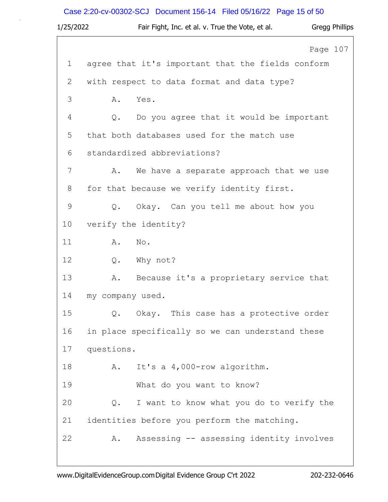Case 2:20-cv-00302-SCJ Document 156-14 Filed 05/16/22 Page 15 of 50

| 1/25/2022    | Fair Fight, Inc. et al. v. True the Vote, et al.  | Gregg Phillips |
|--------------|---------------------------------------------------|----------------|
|              |                                                   | Page 107       |
| 1            | agree that it's important that the fields conform |                |
| $\mathbf{2}$ | with respect to data format and data type?        |                |
| 3            | Yes.<br>Α.                                        |                |
| 4            | Do you agree that it would be important<br>Q.     |                |
| 5            | that both databases used for the match use        |                |
| 6            | standardized abbreviations?                       |                |
| 7            | We have a separate approach that we use<br>Α.     |                |
| 8            | for that because we verify identity first.        |                |
| 9            | Q. Okay. Can you tell me about how you            |                |
| 10           | verify the identity?                              |                |
| 11           | Α.<br>No.                                         |                |
| 12           | Q. Why not?                                       |                |
| 13           | Because it's a proprietary service that<br>Α.     |                |
| 14           | my company used.                                  |                |
| 15           | Q. Okay. This case has a protective order         |                |
| 16           | in place specifically so we can understand these  |                |
| 17           | questions.                                        |                |
| 18           | It's a 4,000-row algorithm.<br>Α.                 |                |
| 19           | What do you want to know?                         |                |
| 20           | I want to know what you do to verify the<br>Q.    |                |
| 21           | identities before you perform the matching.       |                |
| 22           | Assessing -- assessing identity involves<br>Α.    |                |
|              |                                                   |                |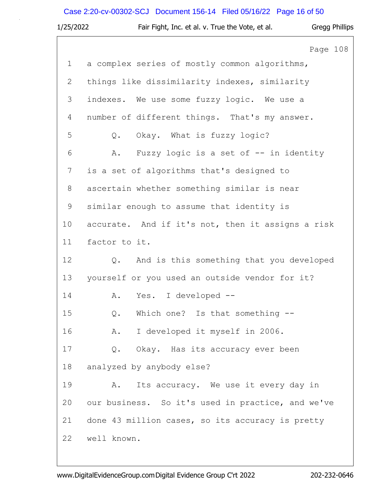# Case 2:20-cv-00302-SCJ Document 156-14 Filed 05/16/22 Page 16 of 50

| 1/25/2022    | Fair Fight, Inc. et al. v. True the Vote, et al.  | Gregg Phillips |
|--------------|---------------------------------------------------|----------------|
|              |                                                   | Page 108       |
| $\mathbf{1}$ | a complex series of mostly common algorithms,     |                |
| $\mathbf{2}$ | things like dissimilarity indexes, similarity     |                |
| 3            | indexes. We use some fuzzy logic. We use a        |                |
| 4            | number of different things. That's my answer.     |                |
| 5            | Q. Okay. What is fuzzy logic?                     |                |
| 6            | Fuzzy logic is a set of -- in identity<br>Α.      |                |
| 7            | is a set of algorithms that's designed to         |                |
| 8            | ascertain whether something similar is near       |                |
| 9            | similar enough to assume that identity is         |                |
| 10           | accurate. And if it's not, then it assigns a risk |                |
| 11           | factor to it.                                     |                |
| 12           | And is this something that you developed<br>Q.    |                |
| 13           | yourself or you used an outside vendor for it?    |                |
| 14           | Yes. I developed --<br>A.                         |                |
| 15           | $Q$ .<br>Which one? Is that something $-$ -       |                |
| 16           | I developed it myself in 2006.<br>A.              |                |
| 17           | Okay. Has its accuracy ever been<br>Q.            |                |
| 18           | analyzed by anybody else?                         |                |
| 19           | Its accuracy. We use it every day in<br>Α.        |                |
| 20           | our business. So it's used in practice, and we've |                |
| 21           | done 43 million cases, so its accuracy is pretty  |                |
| 22           | well known.                                       |                |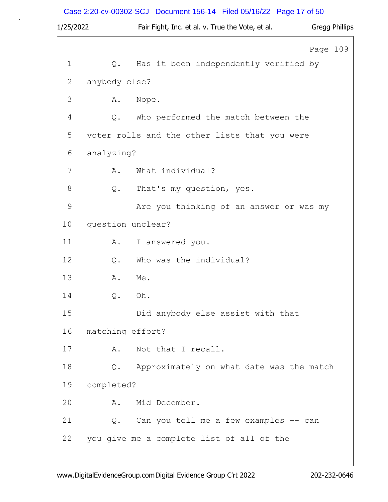# Case 2:20-cv-00302-SCJ Document 156-14 Filed 05/16/22 Page 17 of 50

| 1/25/2022     |                   | Fair Fight, Inc. et al. v. True the Vote, et al. | <b>Gregg Phillips</b> |
|---------------|-------------------|--------------------------------------------------|-----------------------|
|               |                   |                                                  | Page 109              |
| $\mathbf 1$   | Q.                | Has it been independently verified by            |                       |
| 2             | anybody else?     |                                                  |                       |
| 3             | Α.                | Nope.                                            |                       |
| 4             | Q.                | Who performed the match between the              |                       |
| 5             |                   | voter rolls and the other lists that you were    |                       |
| 6             | analyzing?        |                                                  |                       |
| 7             | Α.                | What individual?                                 |                       |
| 8             | Q.                | That's my question, yes.                         |                       |
| $\mathcal{G}$ |                   | Are you thinking of an answer or was my          |                       |
| 10            | question unclear? |                                                  |                       |
| 11            | Α.                | I answered you.                                  |                       |
| 12            | Q.                | Who was the individual?                          |                       |
| 13            | Α.                | Me.                                              |                       |
| 14            | Q.                | Oh.                                              |                       |
| 15            |                   | Did anybody else assist with that                |                       |
| 16            | matching effort?  |                                                  |                       |
| 17            | Α.                | Not that I recall.                               |                       |
| 18            | Q.                | Approximately on what date was the match         |                       |
| 19            | completed?        |                                                  |                       |
| 20            | Α.                | Mid December.                                    |                       |
| 21            | Q.                | Can you tell me a few examples -- can            |                       |
| 22            |                   | you give me a complete list of all of the        |                       |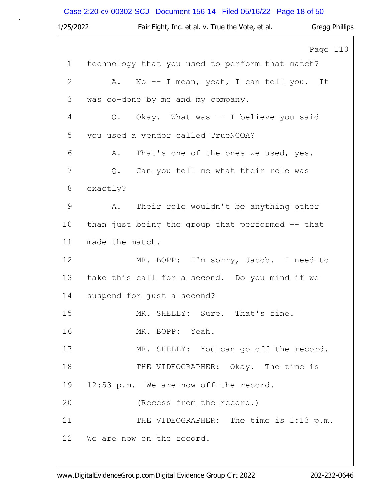Case 2:20-cv-00302-SCJ Document 156-14 Filed 05/16/22 Page 18 of 50

| 1/25/2022    | Fair Fight, Inc. et al. v. True the Vote, et al.<br>Gregg Phillips |
|--------------|--------------------------------------------------------------------|
|              | Page 110                                                           |
| $\mathbf 1$  | technology that you used to perform that match?                    |
| $\mathbf{2}$ | Α.<br>No -- I mean, yeah, I can tell you. It                       |
| 3            | was co-done by me and my company.                                  |
| 4            | Q.<br>Okay. What was -- I believe you said                         |
| 5            | you used a vendor called TrueNCOA?                                 |
| 6            | That's one of the ones we used, yes.<br>Α.                         |
| 7            | Q. Can you tell me what their role was                             |
| 8            | exactly?                                                           |
| 9            | Their role wouldn't be anything other<br>Α.                        |
| 10           | than just being the group that performed -- that                   |
| 11           | made the match.                                                    |
| 12           | MR. BOPP: I'm sorry, Jacob. I need to                              |
| 13           | take this call for a second. Do you mind if we                     |
| 14           | suspend for just a second?                                         |
| 15           | MR. SHELLY: Sure. That's fine.                                     |
| 16           | MR. BOPP: Yeah.                                                    |
| 17           | MR. SHELLY: You can go off the record.                             |
| 18           | THE VIDEOGRAPHER: Okay. The time is                                |
| 19           | 12:53 p.m. We are now off the record.                              |
| 20           | (Recess from the record.)                                          |
| 21           | THE VIDEOGRAPHER: The time is 1:13 p.m.                            |
| 22           | We are now on the record.                                          |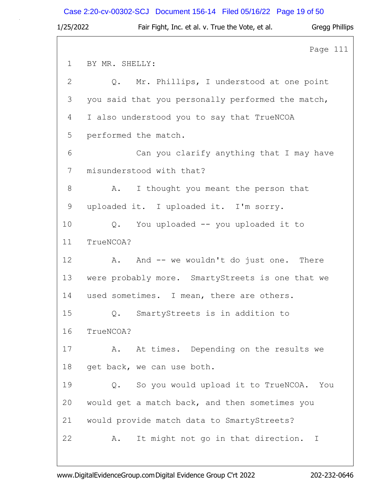Case 2:20-cv-00302-SCJ Document 156-14 Filed 05/16/22 Page 19 of 50

| 1/25/2022      | <b>Gregg Phillips</b><br>Fair Fight, Inc. et al. v. True the Vote, et al. |
|----------------|---------------------------------------------------------------------------|
|                | Page 111                                                                  |
| $\mathbf 1$    | BY MR. SHELLY:                                                            |
| $\overline{2}$ | Q. Mr. Phillips, I understood at one point                                |
| 3              | you said that you personally performed the match,                         |
| 4              | I also understood you to say that TrueNCOA                                |
| 5              | performed the match.                                                      |
| 6              | Can you clarify anything that I may have                                  |
| 7              | misunderstood with that?                                                  |
| 8              | I thought you meant the person that<br>A.                                 |
| $\mathsf 9$    | uploaded it. I uploaded it. I'm sorry.                                    |
| 10             | You uploaded -- you uploaded it to<br>$Q_{\bullet}$                       |
| 11             | TrueNCOA?                                                                 |
| 12             | And -- we wouldn't do just one. There<br>A.                               |
| 13             | were probably more. SmartyStreets is one that we                          |
| 14             | used sometimes. I mean, there are others.                                 |
| 15             | SmartyStreets is in addition to<br>Q.                                     |
| 16             | TrueNCOA?                                                                 |
| 17             | At times. Depending on the results we<br>Α.                               |
| 18             | get back, we can use both.                                                |
| 19             | So you would upload it to TrueNCOA. You<br>Q.                             |
| 20             | would get a match back, and then sometimes you                            |
| 21             | would provide match data to SmartyStreets?                                |
| 22             | It might not go in that direction. I<br>Α.                                |
|                |                                                                           |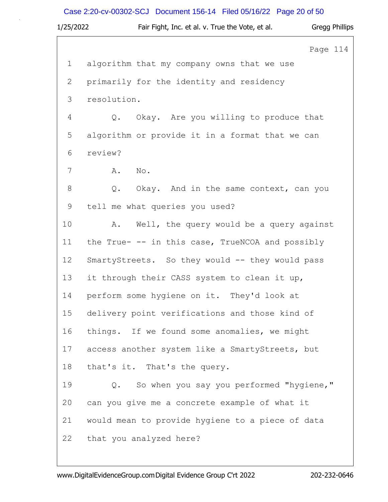Case 2:20-cv-00302-SCJ Document 156-14 Filed 05/16/22 Page 20 of 50

| 1/25/2022   | Fair Fight, Inc. et al. v. True the Vote, et al. | <b>Gregg Phillips</b> |
|-------------|--------------------------------------------------|-----------------------|
|             |                                                  | Page 114              |
| $\mathbf 1$ | algorithm that my company owns that we use       |                       |
| 2           | primarily for the identity and residency         |                       |
| 3           | resolution.                                      |                       |
| 4           | Q. Okay. Are you willing to produce that         |                       |
| 5           | algorithm or provide it in a format that we can  |                       |
| 6           | review?                                          |                       |
| 7           | Α.<br>No.                                        |                       |
| $8\,$       | Okay. And in the same context, can you<br>Q.     |                       |
| $\mathsf 9$ | tell me what queries you used?                   |                       |
| 10          | Well, the query would be a query against<br>Α.   |                       |
| 11          | the True- -- in this case, TrueNCOA and possibly |                       |
| 12          | SmartyStreets. So they would -- they would pass  |                       |
| 13          | it through their CASS system to clean it up,     |                       |
| 14          | perform some hygiene on it. They'd look at       |                       |
| 15          | delivery point verifications and those kind of   |                       |
| 16          | things. If we found some anomalies, we might     |                       |
| 17          | access another system like a SmartyStreets, but  |                       |
| 18          | that's it. That's the query.                     |                       |
| 19          | So when you say you performed "hygiene,"<br>Q.   |                       |
| 20          | can you give me a concrete example of what it    |                       |
| 21          | would mean to provide hygiene to a piece of data |                       |
| 22          | that you analyzed here?                          |                       |
|             |                                                  |                       |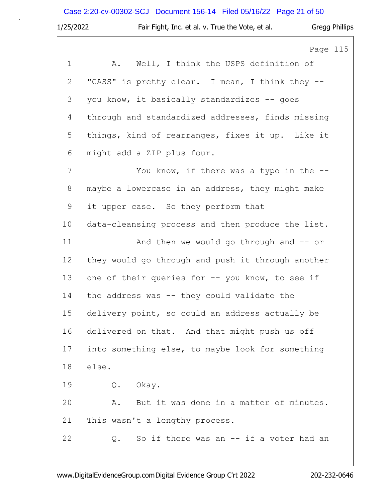|             | Case 2:20-cv-00302-SCJ Document 156-14 Filed 05/16/22 Page 21 of 50 |
|-------------|---------------------------------------------------------------------|
| 1/25/2022   | Fair Fight, Inc. et al. v. True the Vote, et al.<br>Gregg Phillips  |
|             | Page 115                                                            |
| $\mathbf 1$ | A. Well, I think the USPS definition of                             |
| 2           | "CASS" is pretty clear. I mean, I think they --                     |
| 3           | you know, it basically standardizes -- goes                         |
| 4           | through and standardized addresses, finds missing                   |
| 5           | things, kind of rearranges, fixes it up. Like it                    |
| 6           | might add a ZIP plus four.                                          |
| 7           | You know, if there was a typo in the $-$ -                          |
| 8           | maybe a lowercase in an address, they might make                    |
| 9           | it upper case. So they perform that                                 |
| 10          | data-cleansing process and then produce the list.                   |
| 11          | And then we would go through and $-$ or                             |
| 12          | they would go through and push it through another                   |
| 13          | one of their queries for -- you know, to see if                     |
| 14          | the address was -- they could validate the                          |
| 15          | delivery point, so could an address actually be                     |
| 16          | delivered on that. And that might push us off                       |
| 17          | into something else, to maybe look for something                    |
| 18          | else.                                                               |
| 19          | Q. Okay.                                                            |
| 20          | But it was done in a matter of minutes.<br>Α.                       |
| 21          | This wasn't a lengthy process.                                      |
| 22          | So if there was an $--$ if a voter had an<br>Q.                     |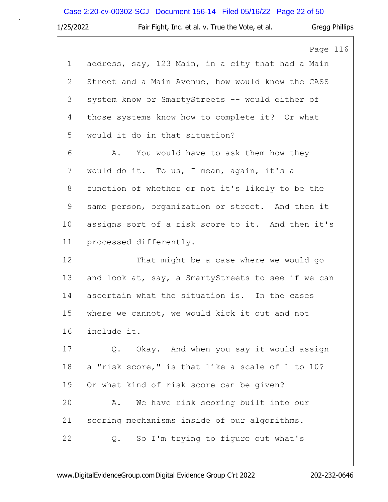# Case 2:20-cv-00302-SCJ Document 156-14 Filed 05/16/22 Page 22 of 50

| 1/25/2022    | <b>Gregg Phillips</b><br>Fair Fight, Inc. et al. v. True the Vote, et al. |
|--------------|---------------------------------------------------------------------------|
|              | Page 116                                                                  |
| $\mathbf{1}$ | address, say, 123 Main, in a city that had a Main                         |
| $\mathbf{2}$ | Street and a Main Avenue, how would know the CASS                         |
| 3            | system know or SmartyStreets -- would either of                           |
| 4            | those systems know how to complete it? Or what                            |
| 5            | would it do in that situation?                                            |
| 6            | You would have to ask them how they<br>Α.                                 |
| 7            | would do it. To us, I mean, again, it's a                                 |
| 8            | function of whether or not it's likely to be the                          |
| $\mathsf 9$  | same person, organization or street. And then it                          |
| 10           | assigns sort of a risk score to it. And then it's                         |
| 11           | processed differently.                                                    |
| 12           | That might be a case where we would go                                    |
| 13           | and look at, say, a SmartyStreets to see if we can                        |
| 14           | ascertain what the situation is. In the cases                             |
| 15           | where we cannot, we would kick it out and not                             |
| 16           | include it.                                                               |
| 17           | Okay. And when you say it would assign<br>Q.                              |
| 18           | a "risk score," is that like a scale of 1 to 10?                          |
| 19           | Or what kind of risk score can be given?                                  |
| 20           | We have risk scoring built into our<br>Α.                                 |
| 21           | scoring mechanisms inside of our algorithms.                              |
| 22           | So I'm trying to figure out what's<br>Q.                                  |
|              |                                                                           |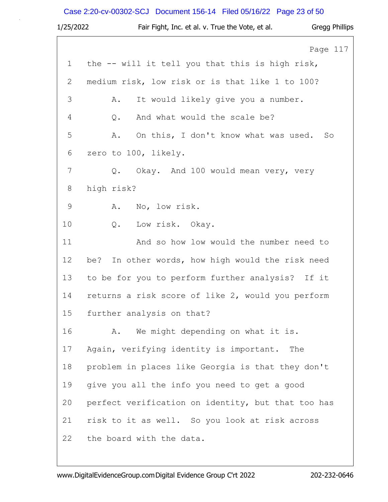# Case 2:20-cv-00302-SCJ Document 156-14 Filed 05/16/22 Page 23 of 50

| 1/25/2022     | Fair Fight, Inc. et al. v. True the Vote, et al.<br><b>Gregg Phillips</b> |
|---------------|---------------------------------------------------------------------------|
|               | Page 117                                                                  |
| $\mathbf 1$   | the -- will it tell you that this is high risk,                           |
| $\mathbf{2}$  | medium risk, low risk or is that like 1 to 100?                           |
| 3             | It would likely give you a number.<br>Α.                                  |
| 4             | And what would the scale be?<br>Q.                                        |
| 5             | On this, I don't know what was used.<br>Α.<br>So                          |
| 6             | zero to 100, likely.                                                      |
| 7             | Q. Okay. And 100 would mean very, very                                    |
| $8\,$         | high risk?                                                                |
| $\mathcal{G}$ | No, low risk.<br>Α.                                                       |
| 10            | Q.<br>Low risk. Okay.                                                     |
| 11            | And so how low would the number need to                                   |
| 12            | In other words, how high would the risk need<br>be?                       |
| 13            | to be for you to perform further analysis? If it                          |
| 14            | returns a risk score of like 2, would you perform                         |
| 15            | further analysis on that?                                                 |
| 16            | We might depending on what it is.<br>Α.                                   |
| 17            | Again, verifying identity is important.<br>The                            |
| 18            | problem in places like Georgia is that they don't                         |
| 19            | give you all the info you need to get a good                              |
| 20            | perfect verification on identity, but that too has                        |
| 21            | risk to it as well. So you look at risk across                            |
| 22            | the board with the data.                                                  |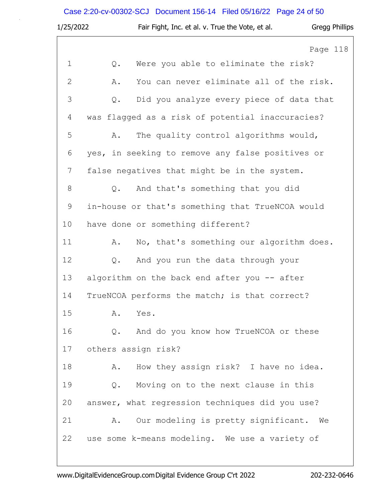# Case 2:20-cv-00302-SCJ Document 156-14 Filed 05/16/22 Page 24 of 50

| 1/25/2022      | Fair Fight, Inc. et al. v. True the Vote, et al.<br><b>Gregg Phillips</b> |
|----------------|---------------------------------------------------------------------------|
|                | Page 118                                                                  |
| 1              | Were you able to eliminate the risk?<br>Q.                                |
| $\overline{2}$ | You can never eliminate all of the risk.<br>Α.                            |
| 3              | Did you analyze every piece of data that<br>Q.                            |
| 4              | was flagged as a risk of potential inaccuracies?                          |
| 5              | The quality control algorithms would,<br>Α.                               |
| 6              | yes, in seeking to remove any false positives or                          |
| 7              | false negatives that might be in the system.                              |
| 8              | And that's something that you did<br>Q.                                   |
| 9              | in-house or that's something that TrueNCOA would                          |
| 10             | have done or something different?                                         |
| 11             | No, that's something our algorithm does.<br>Α.                            |
| 12             | And you run the data through your<br>Q.                                   |
| 13             | algorithm on the back end after you -- after                              |
| 14             | TrueNCOA performs the match; is that correct?                             |
| 15             | Α.<br>Yes.                                                                |
| 16             | And do you know how TrueNCOA or these<br>Q.                               |
| 17             | others assign risk?                                                       |
| 18             | How they assign risk? I have no idea.<br>Α.                               |
| 19             | Moving on to the next clause in this<br>Q.                                |
| 20             | answer, what regression techniques did you use?                           |
| 21             | Our modeling is pretty significant. We<br>Α.                              |
| 22             | use some k-means modeling. We use a variety of                            |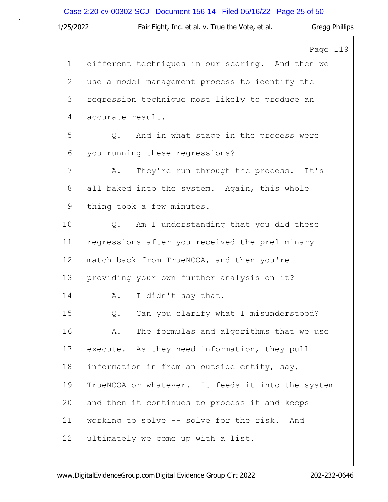# Case 2:20-cv-00302-SCJ Document 156-14 Filed 05/16/22 Page 25 of 50

| 1/25/2022    | Fair Fight, Inc. et al. v. True the Vote, et al.<br><b>Gregg Phillips</b> |
|--------------|---------------------------------------------------------------------------|
|              | Page 119                                                                  |
| $\mathbf{1}$ | different techniques in our scoring. And then we                          |
| 2            | use a model management process to identify the                            |
| 3            | regression technique most likely to produce an                            |
| 4            | accurate result.                                                          |
| 5            | Q. And in what stage in the process were                                  |
| 6            | you running these regressions?                                            |
| 7            | They're run through the process. It's<br>Α.                               |
| 8            | all baked into the system. Again, this whole                              |
| 9            | thing took a few minutes.                                                 |
| 10           | Am I understanding that you did these<br>Q.                               |
| 11           | regressions after you received the preliminary                            |
| 12           | match back from TrueNCOA, and then you're                                 |
| 13           | providing your own further analysis on it?                                |
| 14           | I didn't say that.<br>A.                                                  |
| 15           | Can you clarify what I misunderstood?<br>$Q$ .                            |
| 16           | The formulas and algorithms that we use<br>Α.                             |
| 17           | execute. As they need information, they pull                              |
| 18           | information in from an outside entity, say,                               |
| 19           | TrueNCOA or whatever. It feeds it into the system                         |
| 20           | and then it continues to process it and keeps                             |
| 21           | working to solve -- solve for the risk.<br>And                            |
| 22           | ultimately we come up with a list.                                        |
|              |                                                                           |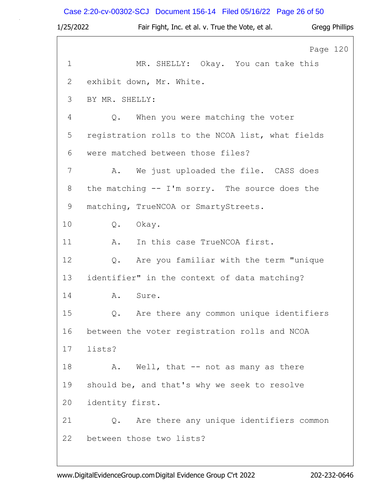Case 2:20-cv-00302-SCJ Document 156-14 Filed 05/16/22 Page 26 of 50

| 1/25/2022    | Fair Fight, Inc. et al. v. True the Vote, et al.<br><b>Gregg Phillips</b> |  |
|--------------|---------------------------------------------------------------------------|--|
|              | Page 120                                                                  |  |
| $\mathbf{1}$ | MR. SHELLY: Okay. You can take this                                       |  |
| 2            | exhibit down, Mr. White.                                                  |  |
| 3            | BY MR. SHELLY:                                                            |  |
| 4            | When you were matching the voter<br>Q.                                    |  |
| 5            | registration rolls to the NCOA list, what fields                          |  |
| 6            | were matched between those files?                                         |  |
| 7            | We just uploaded the file. CASS does<br>Α.                                |  |
| 8            | the matching -- I'm sorry. The source does the                            |  |
| $\mathsf 9$  | matching, TrueNCOA or SmartyStreets.                                      |  |
| 10           | Q.<br>Okay.                                                               |  |
| 11           | In this case TrueNCOA first.<br>Α.                                        |  |
| 12           | Are you familiar with the term "unique<br>$Q$ .                           |  |
| 13           | identifier" in the context of data matching?                              |  |
| 14           | A.<br>Sure.                                                               |  |
| 15           | Are there any common unique identifiers<br>$Q$ .                          |  |
| 16           | between the voter registration rolls and NCOA                             |  |
| 17           | lists?                                                                    |  |
| 18           | Well, that -- not as many as there<br>Α.                                  |  |
| 19           | should be, and that's why we seek to resolve                              |  |
| 20           | identity first.                                                           |  |
| 21           | Are there any unique identifiers common<br>$Q$ .                          |  |
| 22           | between those two lists?                                                  |  |
|              |                                                                           |  |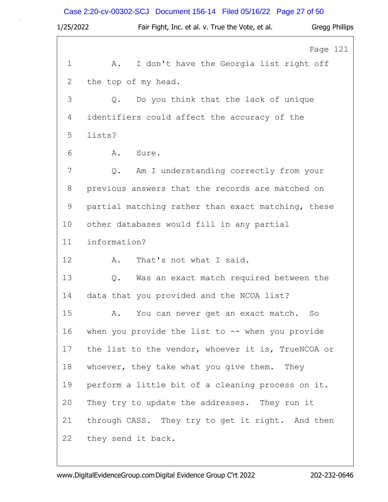# Case 2:20-cv-00302-SCJ Document 156-14 Filed 05/16/22 Page 27 of 50

| 1/25/2022    | Fair Fight, Inc. et al. v. True the Vote, et al.<br>Gregg Phillips |
|--------------|--------------------------------------------------------------------|
|              | Page 121                                                           |
| $\mathbf 1$  | I don't have the Georgia list right off<br>Α.                      |
| $\mathbf{2}$ | the top of my head.                                                |
| 3            | Do you think that the lack of unique<br>$Q$ .                      |
| 4            | identifiers could affect the accuracy of the                       |
| 5            | lists?                                                             |
| 6            | Α.<br>Sure.                                                        |
| 7            | Am I understanding correctly from your<br>Q.                       |
| 8            | previous answers that the records are matched on                   |
| 9            | partial matching rather than exact matching, these                 |
| 10           | other databases would fill in any partial                          |
| 11           | information?                                                       |
| 12           | Α.<br>That's not what I said.                                      |
| 13           | Was an exact match required between the<br>Q.                      |
| 14           | data that you provided and the NCOA list?                          |
| 15           | A. You can never get an exact match. So                            |
| 16           | when you provide the list to $-$ - when you provide                |
| 17           | the list to the vendor, whoever it is, TrueNCOA or                 |
| 18           | whoever, they take what you give them. They                        |
| 19           | perform a little bit of a cleaning process on it.                  |
| 20           | They try to update the addresses. They run it                      |
| 21           | through CASS. They try to get it right. And then                   |
| 22           | they send it back.                                                 |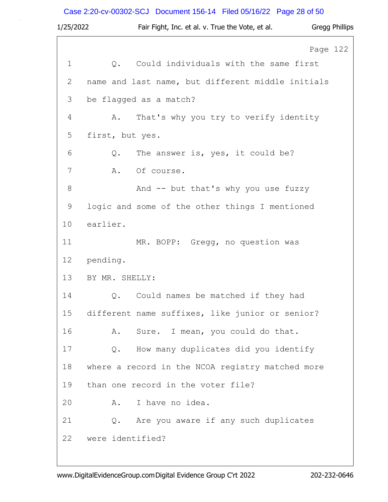# Case 2:20-cv-00302-SCJ Document 156-14 Filed 05/16/22 Page 28 of 50

| 1/25/2022   | Fair Fight, Inc. et al. v. True the Vote, et al.  | <b>Gregg Phillips</b> |
|-------------|---------------------------------------------------|-----------------------|
|             |                                                   | Page 122              |
| $\mathbf 1$ | Could individuals with the same first<br>Q.       |                       |
| 2           | name and last name, but different middle initials |                       |
| 3           | be flagged as a match?                            |                       |
| 4           | That's why you try to verify identity<br>Α.       |                       |
| 5           | first, but yes.                                   |                       |
| 6           | The answer is, yes, it could be?<br>Q.            |                       |
| 7           | Of course.<br>Α.                                  |                       |
| $8\,$       | And -- but that's why you use fuzzy               |                       |
| $\mathsf 9$ | logic and some of the other things I mentioned    |                       |
| 10          | earlier.                                          |                       |
| 11          | MR. BOPP: Gregg, no question was                  |                       |
| 12          | pending.                                          |                       |
| 13          | BY MR. SHELLY:                                    |                       |
| 14          | Q. Could names be matched if they had             |                       |
| 15          | different name suffixes, like junior or senior?   |                       |
| 16          | Sure. I mean, you could do that.<br>Α.            |                       |
| 17          | How many duplicates did you identify<br>$Q$ .     |                       |
| 18          | where a record in the NCOA registry matched more  |                       |
| 19          | than one record in the voter file?                |                       |
| 20          | I have no idea.<br>Α.                             |                       |
| 21          | Are you aware if any such duplicates<br>Q.        |                       |
| 22          | were identified?                                  |                       |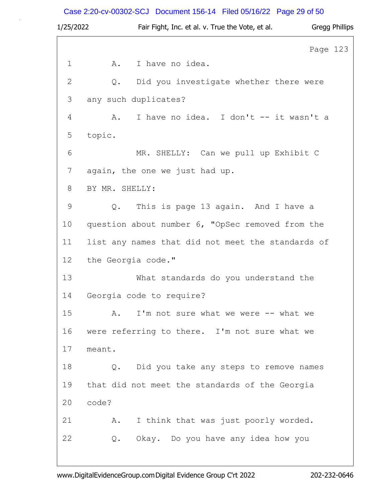# Case 2:20-cv-00302-SCJ Document 156-14 Filed 05/16/22 Page 29 of 50

| 1/25/2022      | Fair Fight, Inc. et al. v. True the Vote, et al.  |          | <b>Gregg Phillips</b> |
|----------------|---------------------------------------------------|----------|-----------------------|
|                |                                                   | Page 123 |                       |
| $\mathbf 1$    | I have no idea.<br>A.                             |          |                       |
| $\overline{2}$ | Did you investigate whether there were<br>Q.      |          |                       |
| 3              | any such duplicates?                              |          |                       |
| 4              | I have no idea. I don't -- it wasn't a<br>A.      |          |                       |
| 5              | topic.                                            |          |                       |
| 6              | MR. SHELLY: Can we pull up Exhibit C              |          |                       |
| 7              | again, the one we just had up.                    |          |                       |
| 8              | BY MR. SHELLY:                                    |          |                       |
| $\mathsf 9$    | This is page 13 again. And I have a<br>Q.         |          |                       |
| 10             | question about number 6, "OpSec removed from the  |          |                       |
| 11             | list any names that did not meet the standards of |          |                       |
| 12             | the Georgia code."                                |          |                       |
| 13             | What standards do you understand the              |          |                       |
| 14             | Georgia code to require?                          |          |                       |
| 15             | I'm not sure what we were -- what we<br>Α.        |          |                       |
| 16             | were referring to there. I'm not sure what we     |          |                       |
| 17             | meant.                                            |          |                       |
| 18             | Did you take any steps to remove names<br>$Q$ .   |          |                       |
| 19             | that did not meet the standards of the Georgia    |          |                       |
| 20             | code?                                             |          |                       |
| 21             | I think that was just poorly worded.<br>Α.        |          |                       |
| 22             | Okay. Do you have any idea how you<br>Q.          |          |                       |
|                |                                                   |          |                       |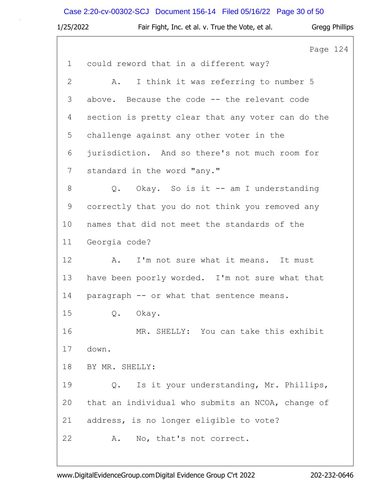# Case 2:20-cv-00302-SCJ Document 156-14 Filed 05/16/22 Page 30 of 50

| 1/25/2022                 | Fair Fight, Inc. et al. v. True the Vote, et al.<br>Gregg Phillips |
|---------------------------|--------------------------------------------------------------------|
|                           | Page 124                                                           |
| $\mathbf{1}$              | could reword that in a different way?                              |
| $\mathbf{2}^{\mathsf{I}}$ | I think it was referring to number 5<br>A.                         |
| 3                         | above. Because the code -- the relevant code                       |
| 4                         | section is pretty clear that any voter can do the                  |
| 5                         | challenge against any other voter in the                           |
| 6                         | jurisdiction. And so there's not much room for                     |
| 7                         | standard in the word "any."                                        |
| 8                         | Q. Okay. So is it -- am I understanding                            |
| 9                         | correctly that you do not think you removed any                    |
| 10                        | names that did not meet the standards of the                       |
| 11                        | Georgia code?                                                      |
| 12                        | I'm not sure what it means. It must<br>Α.                          |
| 13                        | have been poorly worded. I'm not sure what that                    |
| 14                        | paragraph -- or what that sentence means.                          |
| 15                        | Q. Okay.                                                           |
| 16                        | MR. SHELLY: You can take this exhibit                              |
| 17                        | down.                                                              |
| 18                        | BY MR. SHELLY:                                                     |
| 19                        | Is it your understanding, Mr. Phillips,<br>Q.                      |
| 20                        | that an individual who submits an NCOA, change of                  |
| 21                        | address, is no longer eligible to vote?                            |
| 22                        | No, that's not correct.<br>Α.                                      |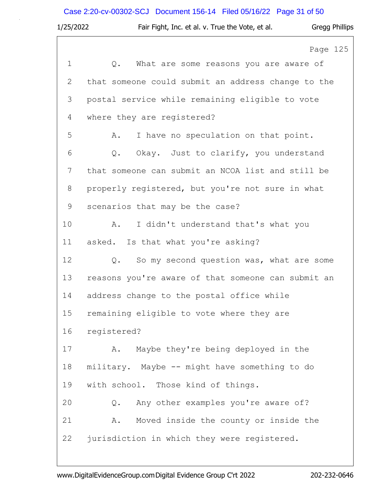## Case 2:20-cv-00302-SCJ Document 156-14 Filed 05/16/22 Page 31 of 50

| 1/25/2022    | Fair Fight, Inc. et al. v. True the Vote, et al.<br>Gregg Phillips |
|--------------|--------------------------------------------------------------------|
|              | Page 125                                                           |
| $\mathbf 1$  | Q.<br>What are some reasons you are aware of                       |
| $\mathbf{2}$ | that someone could submit an address change to the                 |
| 3            | postal service while remaining eligible to vote                    |
| 4            | where they are registered?                                         |
| 5            | I have no speculation on that point.<br>Α.                         |
| 6            | Q. Okay. Just to clarify, you understand                           |
| 7            | that someone can submit an NCOA list and still be                  |
| 8            | properly registered, but you're not sure in what                   |
| $\mathsf 9$  | scenarios that may be the case?                                    |
| 10           | I didn't understand that's what you<br>Α.                          |
| 11           | asked. Is that what you're asking?                                 |
| 12           | So my second question was, what are some<br>$Q$ .                  |
| 13           | reasons you're aware of that someone can submit an                 |
| 14           | address change to the postal office while                          |
| 15           | remaining eligible to vote where they are                          |
| 16           | registered?                                                        |
| 17           | Maybe they're being deployed in the<br>Α.                          |
| 18           | military. Maybe -- might have something to do                      |
| 19           | with school. Those kind of things.                                 |
| 20           | Any other examples you're aware of?<br>Q.                          |
| 21           | Moved inside the county or inside the<br>Α.                        |
| 22           | jurisdiction in which they were registered.                        |
|              |                                                                    |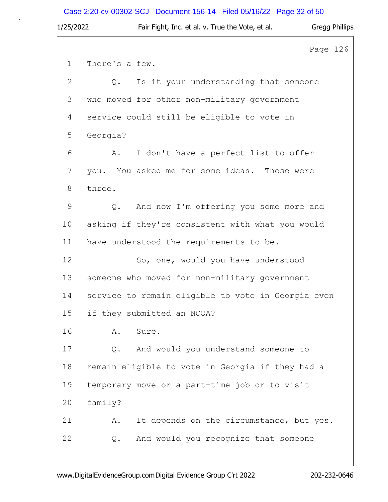# Case 2:20-cv-00302-SCJ Document 156-14 Filed 05/16/22 Page 32 of 50

| 1/25/2022      | Fair Fight, Inc. et al. v. True the Vote, et al.   | Gregg Phillips |
|----------------|----------------------------------------------------|----------------|
|                |                                                    | Page 126       |
| $\mathbf{1}$   | There's a few.                                     |                |
| $\mathbf{2}$   | Is it your understanding that someone<br>$Q$ .     |                |
| 3              | who moved for other non-military government        |                |
| 4              | service could still be eligible to vote in         |                |
| 5              | Georgia?                                           |                |
| 6              | I don't have a perfect list to offer<br>Α.         |                |
| 7              | you. You asked me for some ideas. Those were       |                |
| 8              | three.                                             |                |
| $\overline{9}$ | And now I'm offering you some more and<br>$Q$ .    |                |
| 10             | asking if they're consistent with what you would   |                |
| 11             | have understood the requirements to be.            |                |
| 12             | So, one, would you have understood                 |                |
| 13             | someone who moved for non-military government      |                |
| 14             | service to remain eligible to vote in Georgia even |                |
| 15             | if they submitted an NCOA?                         |                |
| 16             | Α.<br>Sure.                                        |                |
| 17             | And would you understand someone to<br>Q.          |                |
| 18             | remain eligible to vote in Georgia if they had a   |                |
| 19             | temporary move or a part-time job or to visit      |                |
| 20             | family?                                            |                |
| 21             | It depends on the circumstance, but yes.<br>Α.     |                |
| 22             | And would you recognize that someone<br>Q.         |                |
|                |                                                    |                |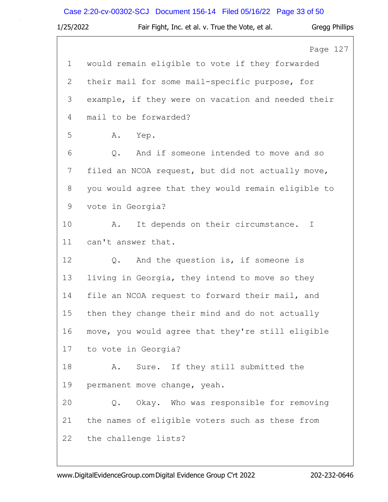# Case 2:20-cv-00302-SCJ Document 156-14 Filed 05/16/22 Page 33 of 50

| 1/25/2022      | Fair Fight, Inc. et al. v. True the Vote, et al.   | Gregg Phillips |
|----------------|----------------------------------------------------|----------------|
|                |                                                    | Page 127       |
| $\mathbf 1$    | would remain eligible to vote if they forwarded    |                |
| $\mathbf{2}$   | their mail for some mail-specific purpose, for     |                |
| 3              | example, if they were on vacation and needed their |                |
| 4              | mail to be forwarded?                              |                |
| 5              | Yep.<br>Α.                                         |                |
| 6              | And if someone intended to move and so<br>Q.       |                |
| $\overline{7}$ | filed an NCOA request, but did not actually move,  |                |
| $8\,$          | you would agree that they would remain eligible to |                |
| $\mathcal{G}$  | vote in Georgia?                                   |                |
| 10             | It depends on their circumstance.<br>Α.            | $\mathbb{I}$   |
| 11             | can't answer that.                                 |                |
| 12             | And the question is, if someone is<br>Q.           |                |
| 13             | living in Georgia, they intend to move so they     |                |
| 14             | file an NCOA request to forward their mail, and    |                |
| 15             | then they change their mind and do not actually    |                |
| 16             | move, you would agree that they're still eligible  |                |
| 17             | to vote in Georgia?                                |                |
| 18             | Sure. If they still submitted the<br>Α.            |                |
| 19             | permanent move change, yeah.                       |                |
| 20             | Okay. Who was responsible for removing<br>Q.       |                |
| 21             | the names of eligible voters such as these from    |                |
| 22             | the challenge lists?                               |                |
|                |                                                    |                |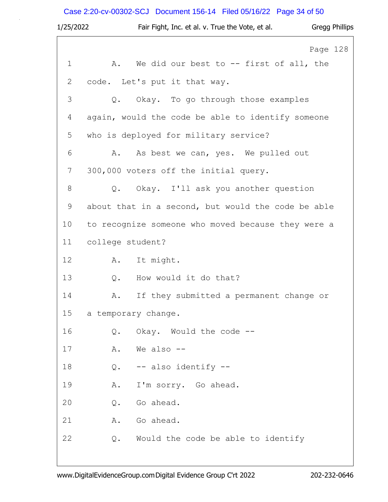# Case 2:20-cv-00302-SCJ Document 156-14 Filed 05/16/22 Page 34 of 50

| 1/25/2022   |                     | Fair Fight, Inc. et al. v. True the Vote, et al.   | Gregg Phillips |
|-------------|---------------------|----------------------------------------------------|----------------|
|             |                     |                                                    | Page 128       |
| $\mathbf 1$ | Α.                  | We did our best to -- first of all, the            |                |
| 2           |                     | code. Let's put it that way.                       |                |
| 3           | Q.                  | Okay. To go through those examples                 |                |
| 4           |                     | again, would the code be able to identify someone  |                |
| 5           |                     | who is deployed for military service?              |                |
| 6           | Α.                  | As best we can, yes. We pulled out                 |                |
| 7           |                     | 300,000 voters off the initial query.              |                |
| $8\,$       |                     | Q. Okay. I'll ask you another question             |                |
| $\mathsf 9$ |                     | about that in a second, but would the code be able |                |
| 10          |                     | to recognize someone who moved because they were a |                |
| 11          | college student?    |                                                    |                |
| 12          | A.                  | It might.                                          |                |
| 13          | Q.                  | How would it do that?                              |                |
| 14          | Α.                  | If they submitted a permanent change or            |                |
| 15          | a temporary change. |                                                    |                |
| 16          | Q.                  | Okay. Would the code --                            |                |
| 17          | Α.                  | We also --                                         |                |
| 18          | Q.                  | -- also identify --                                |                |
| 19          | Α.                  | I'm sorry. Go ahead.                               |                |
| 20          | Q.                  | Go ahead.                                          |                |
| 21          | Α.                  | Go ahead.                                          |                |
| 22          | Q.                  | Would the code be able to identify                 |                |
|             |                     |                                                    |                |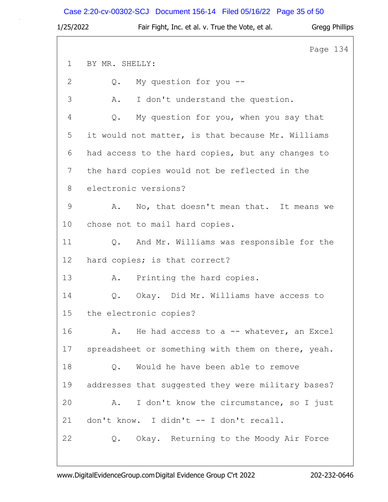Case 2:20-cv-00302-SCJ Document 156-14 Filed 05/16/22 Page 35 of 50

| 1/25/2022 | Fair Fight, Inc. et al. v. True the Vote, et al.   | <b>Gregg Phillips</b> |  |
|-----------|----------------------------------------------------|-----------------------|--|
|           |                                                    | Page 134              |  |
| 1         | BY MR. SHELLY:                                     |                       |  |
| 2         | My question for you --<br>Q.                       |                       |  |
| 3         | I don't understand the question.<br>Α.             |                       |  |
| 4         | My question for you, when you say that<br>Q.       |                       |  |
| 5         | it would not matter, is that because Mr. Williams  |                       |  |
| 6         | had access to the hard copies, but any changes to  |                       |  |
| 7         | the hard copies would not be reflected in the      |                       |  |
| 8         | electronic versions?                               |                       |  |
| 9         | No, that doesn't mean that. It means we<br>Α.      |                       |  |
| 10        | chose not to mail hard copies.                     |                       |  |
| 11        | Q. And Mr. Williams was responsible for the        |                       |  |
| 12        | hard copies; is that correct?                      |                       |  |
| 13        | Printing the hard copies.<br>Α.                    |                       |  |
| 14        | Okay. Did Mr. Williams have access to<br>Q.        |                       |  |
| 15        | the electronic copies?                             |                       |  |
| 16        | He had access to a -- whatever, an Excel<br>Α.     |                       |  |
| 17        | spreadsheet or something with them on there, yeah. |                       |  |
| 18        | Would he have been able to remove<br>Q.            |                       |  |
| 19        | addresses that suggested they were military bases? |                       |  |
| 20        | I don't know the circumstance, so I just<br>Α.     |                       |  |
| 21        | don't know. I didn't -- I don't recall.            |                       |  |
| 22        | Q. Okay. Returning to the Moody Air Force          |                       |  |
|           |                                                    |                       |  |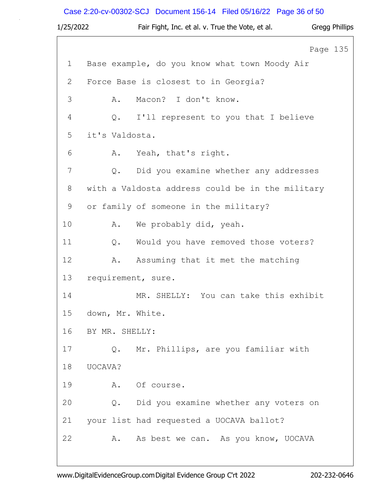# Case 2:20-cv-00302-SCJ Document 156-14 Filed 05/16/22 Page 36 of 50

| 1/25/2022   |                |                | Fair Fight, Inc. et al. v. True the Vote, et al. |          | Gregg Phillips |
|-------------|----------------|----------------|--------------------------------------------------|----------|----------------|
|             |                |                |                                                  | Page 135 |                |
| $\mathbf 1$ |                |                | Base example, do you know what town Moody Air    |          |                |
| 2           |                |                | Force Base is closest to in Georgia?             |          |                |
| 3           |                | Α.             | Macon? I don't know.                             |          |                |
| 4           |                | Q.             | I'll represent to you that I believe             |          |                |
| 5           |                | it's Valdosta. |                                                  |          |                |
| 6           |                | Α.             | Yeah, that's right.                              |          |                |
| 7           |                | Q.             | Did you examine whether any addresses            |          |                |
| 8           |                |                | with a Valdosta address could be in the military |          |                |
| 9           |                |                | or family of someone in the military?            |          |                |
| 10          |                | Α.             | We probably did, yeah.                           |          |                |
| 11          |                | Q.             | Would you have removed those voters?             |          |                |
| 12          |                | Α.             | Assuming that it met the matching                |          |                |
| 13          |                |                | requirement, sure.                               |          |                |
| 14          |                |                | MR. SHELLY: You can take this exhibit            |          |                |
| 15          |                |                | down, Mr. White.                                 |          |                |
| 16          | BY MR. SHELLY: |                |                                                  |          |                |
| 17          |                |                | Q. Mr. Phillips, are you familiar with           |          |                |
| 18          | UOCAVA?        |                |                                                  |          |                |
| 19          |                | Α.             | Of course.                                       |          |                |
| 20          |                | Q.             | Did you examine whether any voters on            |          |                |
| 21          |                |                | your list had requested a UOCAVA ballot?         |          |                |
| 22          |                | Α.             | As best we can. As you know, UOCAVA              |          |                |
|             |                |                |                                                  |          |                |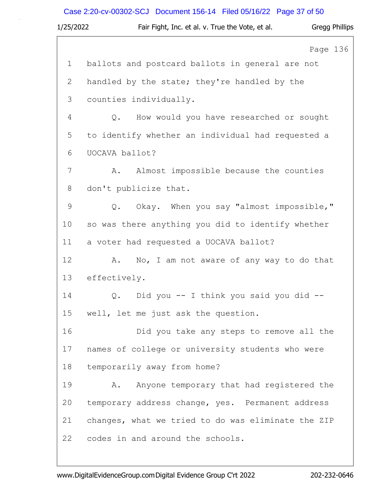# Case 2:20-cv-00302-SCJ Document 156-14 Filed 05/16/22 Page 37 of 50

| 1/25/2022   | Fair Fight, Inc. et al. v. True the Vote, et al.   | <b>Gregg Phillips</b> |
|-------------|----------------------------------------------------|-----------------------|
|             |                                                    | Page 136              |
| $\mathbf 1$ | ballots and postcard ballots in general are not    |                       |
| 2           | handled by the state; they're handled by the       |                       |
| 3           | counties individually.                             |                       |
| 4           | How would you have researched or sought<br>Q.      |                       |
| 5           | to identify whether an individual had requested a  |                       |
| 6           | UOCAVA ballot?                                     |                       |
| 7           | Almost impossible because the counties<br>Α.       |                       |
| 8           | don't publicize that.                              |                       |
| $\mathsf 9$ | Q. Okay. When you say "almost impossible,"         |                       |
| 10          | so was there anything you did to identify whether  |                       |
| 11          | a voter had requested a UOCAVA ballot?             |                       |
| 12          | No, I am not aware of any way to do that<br>Α.     |                       |
| 13          | effectively.                                       |                       |
| 14          | Did you -- I think you said you did --<br>Q.       |                       |
| 15          | well, let me just ask the question.                |                       |
| 16          | Did you take any steps to remove all the           |                       |
| 17          | names of college or university students who were   |                       |
| 18          | temporarily away from home?                        |                       |
| 19          | Anyone temporary that had registered the<br>Α.     |                       |
| 20          | temporary address change, yes. Permanent address   |                       |
| 21          | changes, what we tried to do was eliminate the ZIP |                       |
| 22          | codes in and around the schools.                   |                       |
|             |                                                    |                       |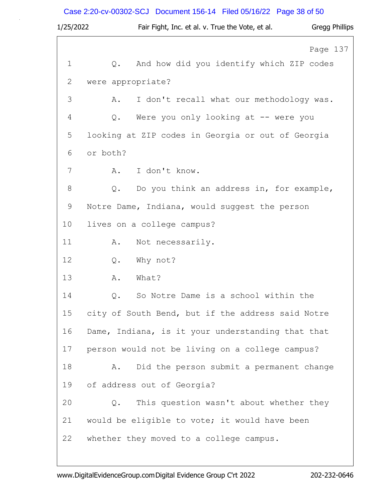# Case 2:20-cv-00302-SCJ Document 156-14 Filed 05/16/22 Page 38 of 50

| 1/25/2022    | Fair Fight, Inc. et al. v. True the Vote, et al.<br>Gregg Phillips |
|--------------|--------------------------------------------------------------------|
|              | Page 137                                                           |
| 1            | And how did you identify which ZIP codes<br>Q.                     |
| $\mathbf{2}$ | were appropriate?                                                  |
| 3            | I don't recall what our methodology was.<br>Α.                     |
| 4            | Were you only looking at $--$ were you<br>Q.                       |
| 5            | looking at ZIP codes in Georgia or out of Georgia                  |
| 6            | or both?                                                           |
| 7            | I don't know.<br>A.                                                |
| 8            | Do you think an address in, for example,<br>Q.                     |
| $\mathsf 9$  | Notre Dame, Indiana, would suggest the person                      |
| 10           | lives on a college campus?                                         |
| 11           | Not necessarily.<br>Α.                                             |
| 12           | Q.<br>Why not?                                                     |
| 13           | Α.<br>What?                                                        |
| 14           | So Notre Dame is a school within the<br>Q.                         |
| 15           | city of South Bend, but if the address said Notre                  |
| 16           | Dame, Indiana, is it your understanding that that                  |
| 17           | person would not be living on a college campus?                    |
| 18           | Did the person submit a permanent change<br>Α.                     |
| 19           | of address out of Georgia?                                         |
| 20           | $Q$ .<br>This question wasn't about whether they                   |
| 21           | would be eligible to vote; it would have been                      |
| 22           | whether they moved to a college campus.                            |
|              |                                                                    |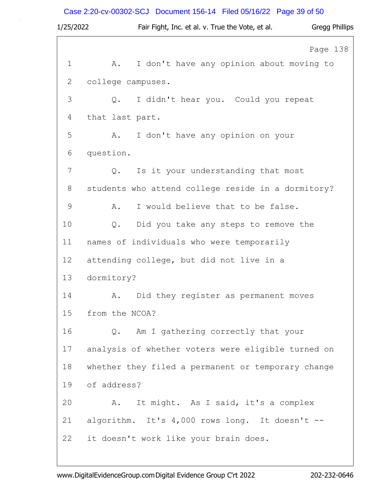# Case 2:20-cv-00302-SCJ Document 156-14 Filed 05/16/22 Page 39 of 50

| Page 138<br>I don't have any opinion about moving to |
|------------------------------------------------------|
|                                                      |
|                                                      |
|                                                      |
|                                                      |
|                                                      |
|                                                      |
|                                                      |
|                                                      |
| students who attend college reside in a dormitory?   |
|                                                      |
|                                                      |
|                                                      |
|                                                      |
|                                                      |
|                                                      |
|                                                      |
|                                                      |
| analysis of whether voters were eligible turned on   |
| whether they filed a permanent or temporary change   |
|                                                      |
|                                                      |
| algorithm. It's 4,000 rows long. It doesn't --       |
|                                                      |
|                                                      |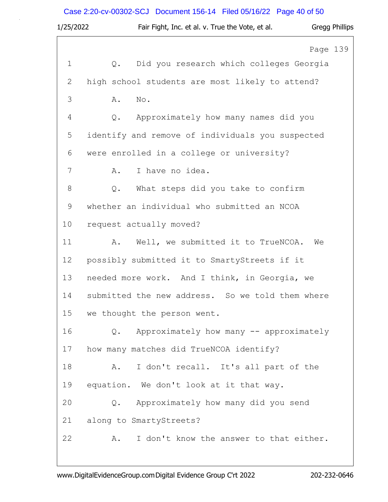# Case 2:20-cv-00302-SCJ Document 156-14 Filed 05/16/22 Page 40 of 50

| 1/25/2022    | Fair Fight, Inc. et al. v. True the Vote, et al. |          | Gregg Phillips |
|--------------|--------------------------------------------------|----------|----------------|
|              |                                                  | Page 139 |                |
| $\mathbf{1}$ | Did you research which colleges Georgia<br>Q.    |          |                |
| 2            | high school students are most likely to attend?  |          |                |
| 3            | No.<br>Α.                                        |          |                |
| 4            | Approximately how many names did you<br>Q.       |          |                |
| 5            | identify and remove of individuals you suspected |          |                |
| 6            | were enrolled in a college or university?        |          |                |
| 7            | I have no idea.<br>Α.                            |          |                |
| 8            | What steps did you take to confirm<br>Q.         |          |                |
| $\mathsf 9$  | whether an individual who submitted an NCOA      |          |                |
| 10           | request actually moved?                          |          |                |
| 11           | Well, we submitted it to TrueNCOA.<br>Α.         | We       |                |
| 12           | possibly submitted it to SmartyStreets if it     |          |                |
| 13           | needed more work. And I think, in Georgia, we    |          |                |
| 14           | submitted the new address. So we told them where |          |                |
| 15           | we thought the person went.                      |          |                |
| 16           | Q. Approximately how many -- approximately       |          |                |
| 17           | how many matches did TrueNCOA identify?          |          |                |
| 18           | I don't recall. It's all part of the<br>Α.       |          |                |
| 19           | equation. We don't look at it that way.          |          |                |
| 20           | Q. Approximately how many did you send           |          |                |
| 21           | along to SmartyStreets?                          |          |                |
| 22           | I don't know the answer to that either.<br>Α.    |          |                |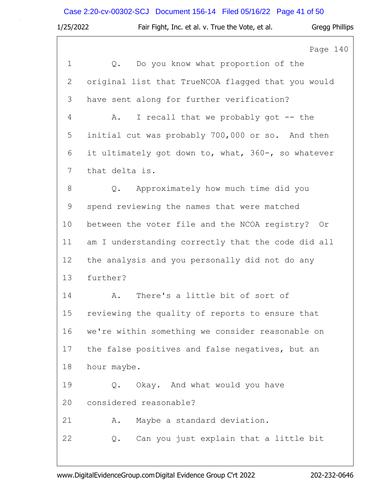|             | Case 2:20-cv-00302-SCJ Document 156-14 Filed 05/16/22 Page 41 of 50 |                       |
|-------------|---------------------------------------------------------------------|-----------------------|
| 1/25/2022   | Fair Fight, Inc. et al. v. True the Vote, et al.                    | <b>Gregg Phillips</b> |
|             |                                                                     | Page 140              |
| $\mathbf 1$ | Do you know what proportion of the<br>Q.                            |                       |
| 2           | original list that TrueNCOA flagged that you would                  |                       |
| 3           | have sent along for further verification?                           |                       |
| 4           | I recall that we probably got -- the<br>Α.                          |                       |
| 5           | initial cut was probably 700,000 or so. And then                    |                       |
| 6           | it ultimately got down to, what, 360-, so whatever                  |                       |
| 7           | that delta is.                                                      |                       |
| 8           | Approximately how much time did you<br>Q.                           |                       |
| 9           | spend reviewing the names that were matched                         |                       |
| 10          | between the voter file and the NCOA registry? Or                    |                       |
| 11          | am I understanding correctly that the code did all                  |                       |
| 12          | the analysis and you personally did not do any                      |                       |
| 13          | further?                                                            |                       |
| 14          | There's a little bit of sort of<br>Α.                               |                       |
| 15          | reviewing the quality of reports to ensure that                     |                       |
| 16          | we're within something we consider reasonable on                    |                       |
| 17          | the false positives and false negatives, but an                     |                       |
| 18          | hour maybe.                                                         |                       |
| 19          | Okay. And what would you have<br>Q.                                 |                       |
| 20          | considered reasonable?                                              |                       |
| 21          | Maybe a standard deviation.<br>Α.                                   |                       |

22 Q. Can you just explain that a little bit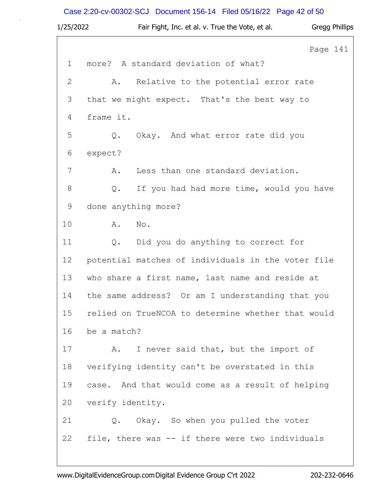# Case 2:20-cv-00302-SCJ Document 156-14 Filed 05/16/22 Page 42 of 50

| 1/25/2022   | Fair Fight, Inc. et al. v. True the Vote, et al.   | Gregg Phillips |
|-------------|----------------------------------------------------|----------------|
|             |                                                    | Page 141       |
| $\mathbf 1$ | more? A standard deviation of what?                |                |
| 2           | Relative to the potential error rate<br>Α.         |                |
| 3           | that we might expect. That's the best way to       |                |
| 4           | frame it.                                          |                |
| 5           | $Q$ .<br>Okay. And what error rate did you         |                |
| 6           | expect?                                            |                |
| 7           | Less than one standard deviation.<br>Α.            |                |
| 8           | If you had had more time, would you have<br>Q.     |                |
| 9           | done anything more?                                |                |
| 10          | No.<br>A.                                          |                |
| 11          | Q. Did you do anything to correct for              |                |
| 12          | potential matches of individuals in the voter file |                |
| 13          | who share a first name, last name and reside at    |                |
| 14          | the same address? Or am I understanding that you   |                |
| 15          | relied on TrueNCOA to determine whether that would |                |
| 16          | be a match?                                        |                |
| 17          | I never said that, but the import of<br>Α.         |                |
| 18          | verifying identity can't be overstated in this     |                |
| 19          | case. And that would come as a result of helping   |                |
| 20          | verify identity.                                   |                |
| 21          | Q. Okay. So when you pulled the voter              |                |
| 22          | file, there was -- if there were two individuals   |                |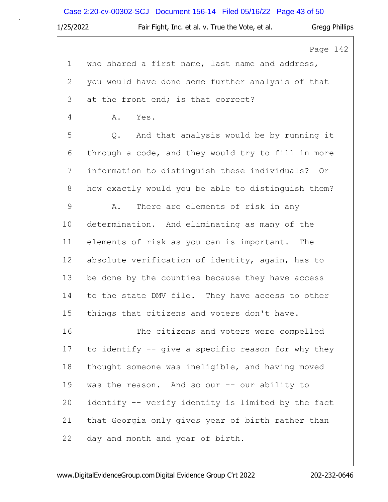# Case 2:20-cv-00302-SCJ Document 156-14 Filed 05/16/22 Page 43 of 50

| 1/25/2022     | Fair Fight, Inc. et al. v. True the Vote, et al.   | Gregg Phillips |
|---------------|----------------------------------------------------|----------------|
|               |                                                    | Page 142       |
| $\mathbf 1$   | who shared a first name, last name and address,    |                |
| $\mathbf{2}$  | you would have done some further analysis of that  |                |
| 3             | at the front end; is that correct?                 |                |
| 4             | Α.<br>Yes.                                         |                |
| 5             | And that analysis would be by running it<br>Q.     |                |
| 6             | through a code, and they would try to fill in more |                |
| 7             | information to distinguish these individuals? Or   |                |
| $8\,$         | how exactly would you be able to distinguish them? |                |
| $\mathcal{G}$ | There are elements of risk in any<br>Α.            |                |
| 10            | determination. And eliminating as many of the      |                |
| 11            | elements of risk as you can is important. The      |                |
| 12            | absolute verification of identity, again, has to   |                |
| 13            | be done by the counties because they have access   |                |
| 14            | to the state DMV file. They have access to other   |                |
| 15            | things that citizens and voters don't have.        |                |
| 16            | The citizens and voters were compelled             |                |
| 17            | to identify -- give a specific reason for why they |                |
| 18            | thought someone was ineligible, and having moved   |                |
| 19            | was the reason. And so our -- our ability to       |                |
| 20            | identify -- verify identity is limited by the fact |                |
| 21            | that Georgia only gives year of birth rather than  |                |
| 22            | day and month and year of birth.                   |                |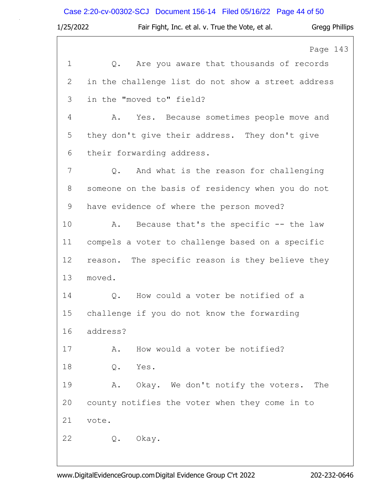| 1/25/2022   | <b>Gregg Phillips</b><br>Fair Fight, Inc. et al. v. True the Vote, et al. |
|-------------|---------------------------------------------------------------------------|
|             | Page 143                                                                  |
| $\mathbf 1$ | Are you aware that thousands of records<br>Q.                             |
| 2           | in the challenge list do not show a street address                        |
| 3           | in the "moved to" field?                                                  |
| 4           | Yes. Because sometimes people move and<br>Α.                              |
| 5           | they don't give their address. They don't give                            |
| 6           | their forwarding address.                                                 |
| 7           | And what is the reason for challenging<br>Q.                              |
| 8           | someone on the basis of residency when you do not                         |
| 9           | have evidence of where the person moved?                                  |
| 10          | Because that's the specific -- the law<br>Α.                              |
| 11          | compels a voter to challenge based on a specific                          |
| 12          | reason. The specific reason is they believe they                          |
| 13          | moved.                                                                    |
| 14          | How could a voter be notified of a<br>$\mathsf{Q}$ .                      |
| 15          | challenge if you do not know the forwarding                               |
| 16          | address?                                                                  |
| 17          | How would a voter be notified?<br>Α.                                      |
| 18          | $\mathsf Q$ .<br>Yes.                                                     |
| 19          | Okay. We don't notify the voters.<br>Α.<br>The                            |
| 20          | county notifies the voter when they come in to                            |
| 21          | vote.                                                                     |
| 22          | Q. Okay.                                                                  |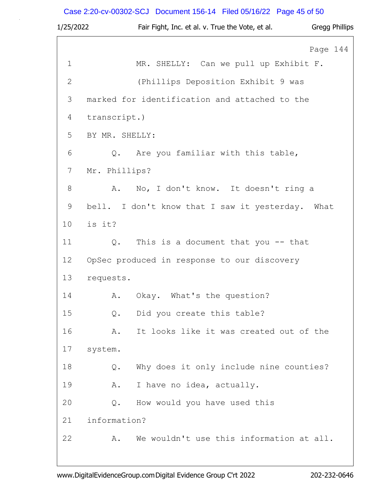# Case 2:20-cv-00302-SCJ Document 156-14 Filed 05/16/22 Page 45 of 50

| 1/25/2022    | Fair Fight, Inc. et al. v. True the Vote, et al.<br>Gregg Phillips |
|--------------|--------------------------------------------------------------------|
|              | Page 144                                                           |
| $\mathbf 1$  | MR. SHELLY: Can we pull up Exhibit F.                              |
| $\mathbf{2}$ | (Phillips Deposition Exhibit 9 was                                 |
| 3            | marked for identification and attached to the                      |
| 4            | transcript.)                                                       |
| 5            | BY MR. SHELLY:                                                     |
| 6            | Q. Are you familiar with this table,                               |
| 7            | Mr. Phillips?                                                      |
| 8            | No, I don't know. It doesn't ring a<br>Α.                          |
| 9            | bell. I don't know that I saw it yesterday. What                   |
| 10           | is it?                                                             |
| 11           | This is a document that you $-$ - that<br>Q.                       |
| 12           | OpSec produced in response to our discovery                        |
| 13           | requests.                                                          |
| 14           | A. Okay. What's the question?                                      |
| 15           | Did you create this table?<br>Q.                                   |
| 16           | It looks like it was created out of the<br>Α.                      |
| 17           | system.                                                            |
| 18           | Why does it only include nine counties?<br>Q.                      |
| 19           | I have no idea, actually.<br>Α.                                    |
| 20           | How would you have used this<br>Q.                                 |
| 21           | information?                                                       |
| 22           | We wouldn't use this information at all.<br>Α.                     |
|              |                                                                    |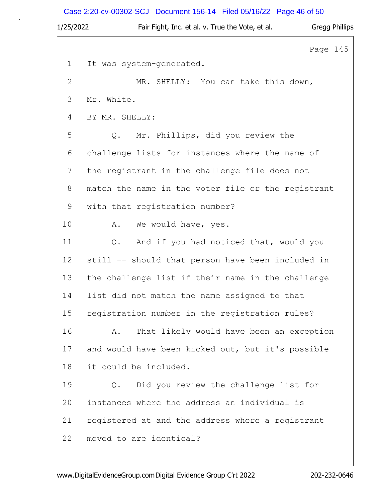# Case 2:20-cv-00302-SCJ Document 156-14 Filed 05/16/22 Page 46 of 50

| 1/25/2022   | Fair Fight, Inc. et al. v. True the Vote, et al.   | <b>Gregg Phillips</b> |
|-------------|----------------------------------------------------|-----------------------|
|             |                                                    | Page 145              |
| $\mathbf 1$ | It was system-generated.                           |                       |
| 2           | MR. SHELLY: You can take this down,                |                       |
| 3           | Mr. White.                                         |                       |
| 4           | BY MR. SHELLY:                                     |                       |
| 5           | Mr. Phillips, did you review the<br>$Q$ .          |                       |
| 6           | challenge lists for instances where the name of    |                       |
| 7           | the registrant in the challenge file does not      |                       |
| 8           | match the name in the voter file or the registrant |                       |
| 9           | with that registration number?                     |                       |
| 10          | We would have, yes.<br>Α.                          |                       |
| 11          | And if you had noticed that, would you<br>Q.       |                       |
| 12          | still -- should that person have been included in  |                       |
| 13          | the challenge list if their name in the challenge  |                       |
| 14          | list did not match the name assigned to that       |                       |
| 15          | registration number in the registration rules?     |                       |
| 16          | That likely would have been an exception<br>Α.     |                       |
| 17          | and would have been kicked out, but it's possible  |                       |
| 18          | it could be included.                              |                       |
| 19          | Did you review the challenge list for<br>Q.        |                       |
| 20          | instances where the address an individual is       |                       |
| 21          | registered at and the address where a registrant   |                       |
| 22          | moved to are identical?                            |                       |

www.DigitalEvidenceGroup.comDigital Evidence Group C'rt 2022 202-232-0646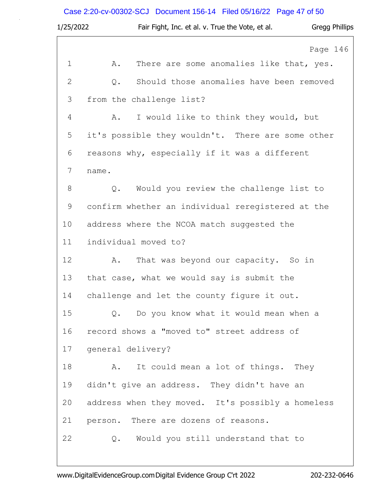# Case 2:20-cv-00302-SCJ Document 156-14 Filed 05/16/22 Page 47 of 50

| 1/25/2022      | Fair Fight, Inc. et al. v. True the Vote, et al.<br>Gregg Phillips |
|----------------|--------------------------------------------------------------------|
|                | Page 146                                                           |
| $\mathbf 1$    | There are some anomalies like that, yes.<br>Α.                     |
| $\overline{2}$ | Should those anomalies have been removed<br>Q.                     |
| 3              | from the challenge list?                                           |
| 4              | I would like to think they would, but<br>Α.                        |
| 5              | it's possible they wouldn't. There are some other                  |
| 6              | reasons why, especially if it was a different                      |
| 7              | name.                                                              |
| 8              | Would you review the challenge list to<br>Q.                       |
| 9              | confirm whether an individual reregistered at the                  |
| 10             | address where the NCOA match suggested the                         |
| 11             | individual moved to?                                               |
| 12             | That was beyond our capacity. So in<br>Α.                          |
| 13             | that case, what we would say is submit the                         |
| 14             | challenge and let the county figure it out.                        |
| 15             | Q. Do you know what it would mean when a                           |
| 16             | record shows a "moved to" street address of                        |
| 17             | general delivery?                                                  |
| 18             | It could mean a lot of things. They<br>A.                          |
| 19             | didn't give an address. They didn't have an                        |
| 20             | address when they moved. It's possibly a homeless                  |
| 21             | person. There are dozens of reasons.                               |
| 22             | Q. Would you still understand that to                              |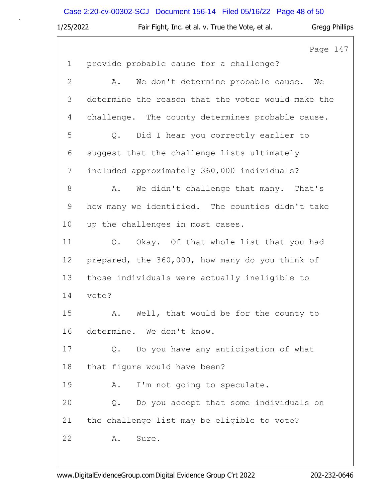# Case 2:20-cv-00302-SCJ Document 156-14 Filed 05/16/22 Page 48 of 50

| 1/25/2022     | Fair Fight, Inc. et al. v. True the Vote, et al.<br><b>Gregg Phillips</b> |
|---------------|---------------------------------------------------------------------------|
|               | Page 147                                                                  |
| $\mathbf 1$   | provide probable cause for a challenge?                                   |
| $\mathbf{2}$  | We don't determine probable cause.<br>Α.<br>We                            |
| 3             | determine the reason that the voter would make the                        |
| 4             | challenge. The county determines probable cause.                          |
| 5             | Did I hear you correctly earlier to<br>Q.                                 |
| 6             | suggest that the challenge lists ultimately                               |
| 7             | included approximately 360,000 individuals?                               |
| $8\,$         | We didn't challenge that many. That's<br>Α.                               |
| $\mathcal{G}$ | how many we identified. The counties didn't take                          |
| 10            | up the challenges in most cases.                                          |
| 11            | Okay. Of that whole list that you had<br>Q.                               |
| 12            | prepared, the 360,000, how many do you think of                           |
| 13            | those individuals were actually ineligible to                             |
| 14            | vote?                                                                     |
| 15            | Well, that would be for the county to<br>Α.                               |
| 16            | determine. We don't know.                                                 |
| 17            | Do you have any anticipation of what<br>$Q$ .                             |
| 18            | that figure would have been?                                              |
| 19            | I'm not going to speculate.<br>Α.                                         |
| 20            | Do you accept that some individuals on<br>Q.                              |
| 21            | the challenge list may be eligible to vote?                               |
| 22            | Α.<br>Sure.                                                               |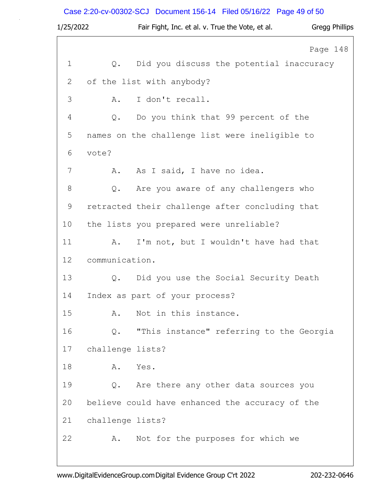# Case 2:20-cv-00302-SCJ Document 156-14 Filed 05/16/22 Page 49 of 50

| 1/25/2022   |                  | Fair Fight, Inc. et al. v. True the Vote, et al. | <b>Gregg Phillips</b> |
|-------------|------------------|--------------------------------------------------|-----------------------|
|             |                  |                                                  | Page 148              |
| $\mathbf 1$ | $Q$ .            | Did you discuss the potential inaccuracy         |                       |
| 2           |                  | of the list with anybody?                        |                       |
| 3           | Α.               | I don't recall.                                  |                       |
| 4           | Q.               | Do you think that 99 percent of the              |                       |
| 5           |                  | names on the challenge list were ineligible to   |                       |
| 6           | vote?            |                                                  |                       |
| 7           | Α.               | As I said, I have no idea.                       |                       |
| 8           | Q.               | Are you aware of any challengers who             |                       |
| $\mathsf 9$ |                  | retracted their challenge after concluding that  |                       |
| 10          |                  | the lists you prepared were unreliable?          |                       |
| 11          | Α.               | I'm not, but I wouldn't have had that            |                       |
| 12          | communication.   |                                                  |                       |
| 13          | Q.               | Did you use the Social Security Death            |                       |
| 14          |                  | Index as part of your process?                   |                       |
| 15          | Α.               | Not in this instance.                            |                       |
| 16          | Q.               | "This instance" referring to the Georgia         |                       |
| 17          | challenge lists? |                                                  |                       |
| 18          | Α.               | Yes.                                             |                       |
| 19          | Q.               | Are there any other data sources you             |                       |
| 20          |                  | believe could have enhanced the accuracy of the  |                       |
| 21          | challenge lists? |                                                  |                       |
| 22          | Α.               | Not for the purposes for which we                |                       |